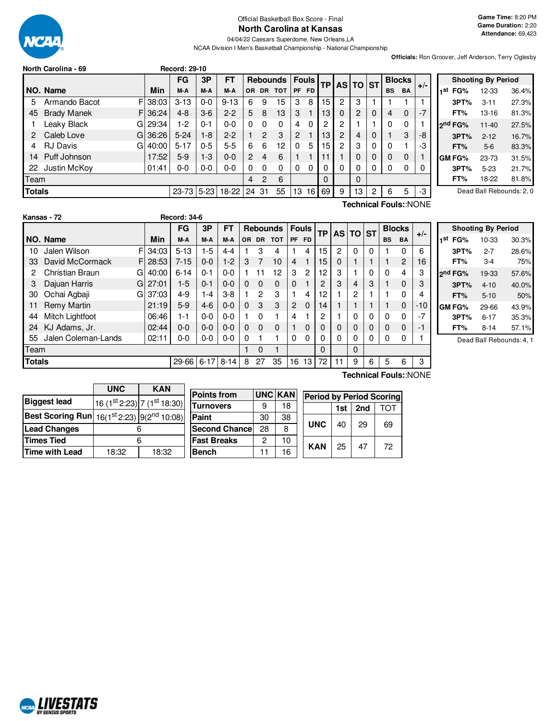

Official Basketball Box Score - Final **North Carolina at Kansas**

04/04/22 Caesars Superdome, New Orleans,LA NCAA Division I Men's Basketball Championship - National Championship **Game Time:** 8:20 PM **Game Duration:** 2:20 **Attendance:** 69,423

**Officials:** Ron Groover, Jeff Anderson, Terry Oglesby

| North Carolina - 69 |  |
|---------------------|--|
|                     |  |

|               | <b>IVULUI VALUILLA " UJ</b> |          | neculu. 29-10 |          |          |                |                |                 |              |                 |    |                |          |   |           |               |       |                |
|---------------|-----------------------------|----------|---------------|----------|----------|----------------|----------------|-----------------|--------------|-----------------|----|----------------|----------|---|-----------|---------------|-------|----------------|
|               |                             |          | <b>FG</b>     | 3P       | FТ       |                |                | <b>Rebounds</b> |              | <b>Fouls</b>    | ТP |                | AS TO ST |   |           | <b>Blocks</b> | $+/-$ |                |
|               | NO. Name                    | Min      | M-A           | M-A      | M-A      | OR.            | <b>DR</b>      | <b>TOT</b>      |              | PF FD           |    |                |          |   | <b>BS</b> | <b>BA</b>     |       | 1 <sup>s</sup> |
| 5             | Armando Bacot               | F 38:03  | $3 - 13$      | $0 - 0$  | $9 - 13$ | 6              | 9              | 15              | 3            | 8               | 15 | 2              | 3        |   |           |               |       |                |
| 45            | <b>Brady Manek</b>          | F136:24  | $4 - 8$       | $3-6$    | $2 - 2$  | 5              | 8              | 13              | 3            |                 | 13 | $\Omega$       | 2        | 0 | 4         | $\Omega$      | $-7$  |                |
|               | Leaky Black                 | GI 29:34 | $1-2$         | $0 - 1$  | $0 - 0$  | 0              | $\Omega$       | 0               | 4            | 0               | 2  | 2              |          |   | $\Omega$  | 0             |       | 2 <sup>n</sup> |
| 2             | Caleb Love                  | G136:26  | $5 - 24$      | $1-8$    | $2 - 2$  | 1              | $\overline{2}$ | 3               | 2            |                 | 13 | $\overline{2}$ | 4        | 0 |           | 3             | -8    |                |
| 4             | <b>RJ Davis</b><br>GI       | 40:00    | $5 - 17$      | $0 - 5$  | 5-5      | 6              | 6              | 12              | <sup>0</sup> | 5               | 15 | 2              | 3        | 0 | $\Omega$  |               | -3    |                |
| 14            | Puff Johnson                | 17:52    | $5-9$         | $1 - 3$  | $0 - 0$  | 2              | 4              | 6               |              |                 | 11 |                | 0        | 0 | $\Omega$  | $\Omega$      |       | GI             |
|               | 22 Justin McKoy             | 01:41    | 0-0           | $0-0$    | $0 - 0$  | $\Omega$       | $\Omega$       | 0               | $\Omega$     | 0               | 0  | $\Omega$       | 0        | 0 | $\Omega$  | 0             | 0     |                |
| Team          |                             |          |               |          |          | $\overline{4}$ | $\overline{2}$ | 6               |              |                 | 0  |                | 0        |   |           |               |       |                |
| <b>Totals</b> |                             |          | $23 - 73$     | $5 - 23$ | $18-22$  | 24             | 31             | 55              | 13           | 16 <sup>1</sup> | 69 | 9              | 13       | 2 | 6         | 5             | -3    |                |

**North Carolina - 69 Record: 29-10**

| <b>Shooting By Period</b> |                     |           |       |  |  |  |  |  |  |
|---------------------------|---------------------|-----------|-------|--|--|--|--|--|--|
| 1st                       | FG%                 | 12-33     | 36.4% |  |  |  |  |  |  |
|                           | 3PT%                | $3 - 11$  | 27.3% |  |  |  |  |  |  |
|                           | FT%                 | 13-16     | 81.3% |  |  |  |  |  |  |
|                           | ን <sup>nd</sup> FG% | $11 - 40$ | 27.5% |  |  |  |  |  |  |
|                           | 3PT%                | $2 - 12$  | 16.7% |  |  |  |  |  |  |
|                           | FT%                 | $5-6$     | 83.3% |  |  |  |  |  |  |
|                           | GM FG%              | $23 - 73$ | 31.5% |  |  |  |  |  |  |
|                           | 3PT%                | $5 - 23$  | 21.7% |  |  |  |  |  |  |
|                           | FT%                 | 18-22     | 81.8% |  |  |  |  |  |  |

Dead Ball Rebounds: 2, 0

|               | Kansas - 72         |    |       | <b>Record: 34-6</b> |          |          |          |           |                 |                |              |           |    |          |   |           |                |       |
|---------------|---------------------|----|-------|---------------------|----------|----------|----------|-----------|-----------------|----------------|--------------|-----------|----|----------|---|-----------|----------------|-------|
|               |                     |    |       | FG                  | 3P       | FT       |          |           | <b>Rebounds</b> |                | <b>Fouls</b> | <b>TP</b> |    | AS TO ST |   |           | <b>Blocks</b>  | $+/-$ |
|               | NO. Name            |    | Min   | M-A                 | M-A      | M-A      | OR.      | <b>DR</b> | <b>TOT</b>      | <b>PF</b>      | <b>FD</b>    |           |    |          |   | <b>BS</b> | <b>BA</b>      |       |
| 10            | Jalen Wilson        | F  | 34:03 | $5 - 13$            | $1-5$    | $4 - 4$  |          | 3         | 4               |                | 4            | 15        | 2  | 0        | 0 |           | 0              | 6     |
| 33            | David McCormack     | FI | 28:53 | $7 - 15$            | $0 - 0$  | $1-2$    | 3        |           | 10              | 4              |              | 15        | 0  |          |   |           | $\overline{2}$ | 16    |
| 2             | Christian Braun     | G  | 40:00 | $6 - 14$            | $0 - 1$  | $0 - 0$  |          | 11        | 12              | 3              | 2            | 12        | 3  |          | 0 | o         | 4              | 3     |
| 3             | Dajuan Harris       | GI | 27:01 | $1-5$               | $0 - 1$  | $0 - 0$  | 0        | $\Omega$  | $\Omega$        | 0              |              | 2         | 3  | 4        | 3 |           | $\mathbf 0$    |       |
| 30            | Ochai Agbaji        | G  | 37:03 | $4 - 9$             | $1 - 4$  | $3-8$    |          | 2         | 3               |                | 4            | 12        |    | 2        |   |           | 0              |       |
| 11            | Remy Martin         |    | 21:19 | $5-9$               | $4-6$    | $0 - 0$  | $\Omega$ | 3         | 3               | $\overline{2}$ | $\Omega$     | 14        |    |          |   |           | $\mathbf 0$    | $-10$ |
| 44            | Mitch Lightfoot     |    | 06:46 | 1-1                 | $0 - 0$  | $0 - 0$  |          | 0         |                 | 4              |              | 2         |    | 0        | 0 | ი         | 0              |       |
| 24            | KJ Adams, Jr.       |    | 02:44 | $0 - 0$             | $0-0$    | $0 - 0$  | $\Omega$ | $\Omega$  | $\Omega$        |                | $\Omega$     | 0         | 0  | 0        | 0 | 0         | $\mathbf{0}$   |       |
| 55            | Jalen Coleman-Lands |    | 02:11 | 0-0                 | $0-0$    | $0 - 0$  | 0        |           |                 | 0              | $\Omega$     | 0         | 0  | 0        | 0 | n         | 0              |       |
| Team          |                     |    |       |                     |          |          |          | $\Omega$  |                 |                |              | $\Omega$  |    | 0        |   |           |                |       |
| <b>Totals</b> |                     |    |       | 29-66               | $6 - 17$ | $8 - 14$ | 8        | 27        | 35              | 16             | 13           | 72        | 11 | 9        | 6 | 5         | 6              | 3     |

| <b>Shooting By Period</b> |                     |          |       |  |  |  |  |  |
|---------------------------|---------------------|----------|-------|--|--|--|--|--|
| 1st                       | FG%                 | 10-33    | 30.3% |  |  |  |  |  |
|                           | 3PT%                | 2-7      | 28.6% |  |  |  |  |  |
|                           | FT%                 | 3-4      | 75%   |  |  |  |  |  |
|                           | 2 <sup>nd</sup> FG% | 19-33    | 57.6% |  |  |  |  |  |
|                           | 3PT%                | $4 - 10$ | 40.0% |  |  |  |  |  |
|                           | FT%                 | $5-10$   | 50%   |  |  |  |  |  |
|                           | GM FG%              | 29-66    | 43.9% |  |  |  |  |  |
|                           | 3PT%                | 6-17     | 35.3% |  |  |  |  |  |
|                           | FT%                 | $8 - 14$ | 57.1% |  |  |  |  |  |

Dead Ball Rebounds: 4, 1

|                         | <b>UNC</b><br><b>KAN</b> |                             |  |  |  |  |
|-------------------------|--------------------------|-----------------------------|--|--|--|--|
| <b>Biggest lead</b>     |                          | 16 (1st 2:23) 7 (1st 18:30) |  |  |  |  |
| <b>Best Scoring Run</b> |                          | 16(1st 2:23) 9(2nd 10:08)   |  |  |  |  |
| <b>Lead Changes</b>     |                          |                             |  |  |  |  |
| <b>Times Tied</b>       | հ                        |                             |  |  |  |  |
| Time with Lead          | 18:32                    | 18:32                       |  |  |  |  |
|                         |                          |                             |  |  |  |  |

**NORD LIVESTATS** 

| <b>Points from</b>    |    | <b>UNC KAN</b> |            |     |     | <b>Period by Period Scoring</b> |  |
|-----------------------|----|----------------|------------|-----|-----|---------------------------------|--|
| <b>Turnovers</b>      | 9  | 18             |            | 1st | 2nd | TOT                             |  |
| Paint                 | 30 | 38             |            |     | 29  | 69                              |  |
| <b>Second Chancel</b> | 28 | 8              | <b>UNC</b> | 40  |     |                                 |  |
| <b>Fast Breaks</b>    | 2  | 10             | <b>KAN</b> | 25  |     | 72                              |  |
| <b>Bench</b>          | 11 | 16             |            |     | 47  |                                 |  |

**Technical Fouls:**:NONE

**Technical Fouls:**:NONE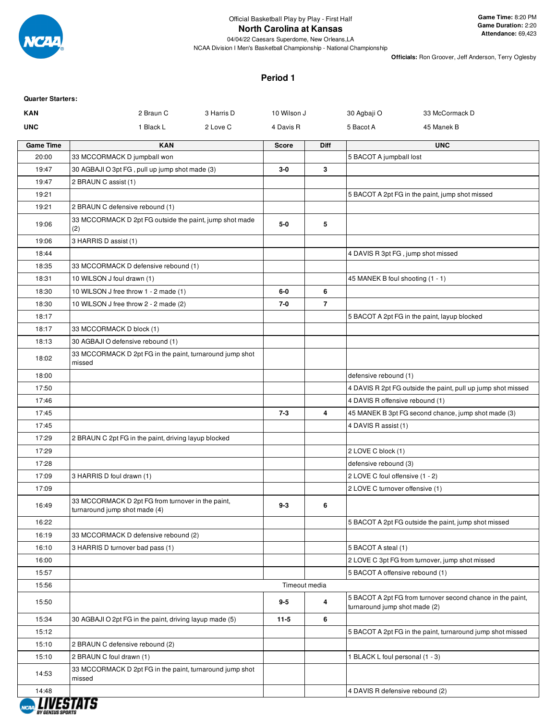

# **North Carolina at Kansas**

04/04/22 Caesars Superdome, New Orleans,LA NCAA Division I Men's Basketball Championship - National Championship **Game Time:** 8:20 PM **Game Duration:** 2:20 **Attendance:** 69,423

**Officials:** Ron Groover, Jeff Anderson, Terry Oglesby

# **Period 1**

| <b>Quarter Starters:</b> |                                                                                    |            |               |                |                                    |                                                              |
|--------------------------|------------------------------------------------------------------------------------|------------|---------------|----------------|------------------------------------|--------------------------------------------------------------|
| <b>KAN</b>               | 2 Braun C                                                                          | 3 Harris D | 10 Wilson J   |                | 30 Agbaji O                        | 33 McCormack D                                               |
| <b>UNC</b>               | 1 Black L                                                                          | 2 Love C   | 4 Davis R     |                | 5 Bacot A                          | 45 Manek B                                                   |
| <b>Game Time</b>         | <b>KAN</b>                                                                         |            | <b>Score</b>  | <b>Diff</b>    |                                    | <b>UNC</b>                                                   |
| 20:00                    | 33 MCCORMACK D jumpball won                                                        |            |               |                | 5 BACOT A jumpball lost            |                                                              |
| 19:47                    | 30 AGBAJI O 3pt FG, pull up jump shot made (3)                                     |            | 3-0           | 3              |                                    |                                                              |
| 19:47                    | 2 BRAUN C assist (1)                                                               |            |               |                |                                    |                                                              |
| 19:21                    |                                                                                    |            |               |                |                                    | 5 BACOT A 2pt FG in the paint, jump shot missed              |
| 19:21                    | 2 BRAUN C defensive rebound (1)                                                    |            |               |                |                                    |                                                              |
| 19:06                    | 33 MCCORMACK D 2pt FG outside the paint, jump shot made<br>(2)                     |            | $5-0$         | 5              |                                    |                                                              |
| 19:06                    | 3 HARRIS D assist (1)                                                              |            |               |                |                                    |                                                              |
| 18:44                    |                                                                                    |            |               |                | 4 DAVIS R 3pt FG, jump shot missed |                                                              |
| 18:35                    | 33 MCCORMACK D defensive rebound (1)                                               |            |               |                |                                    |                                                              |
| 18:31                    | 10 WILSON J foul drawn (1)                                                         |            |               |                | 45 MANEK B foul shooting (1 - 1)   |                                                              |
| 18:30                    | 10 WILSON J free throw 1 - 2 made (1)                                              |            | $6-0$         | 6              |                                    |                                                              |
| 18:30                    | 10 WILSON J free throw 2 - 2 made (2)                                              |            | 7-0           | $\overline{7}$ |                                    |                                                              |
| 18:17                    |                                                                                    |            |               |                |                                    | 5 BACOT A 2pt FG in the paint, layup blocked                 |
| 18:17                    | 33 MCCORMACK D block (1)                                                           |            |               |                |                                    |                                                              |
| 18:13                    | 30 AGBAJI O defensive rebound (1)                                                  |            |               |                |                                    |                                                              |
| 18:02                    | 33 MCCORMACK D 2pt FG in the paint, turnaround jump shot<br>missed                 |            |               |                |                                    |                                                              |
| 18:00                    |                                                                                    |            |               |                | defensive rebound (1)              |                                                              |
| 17:50                    |                                                                                    |            |               |                |                                    | 4 DAVIS R 2pt FG outside the paint, pull up jump shot missed |
| 17:46                    |                                                                                    |            |               |                | 4 DAVIS R offensive rebound (1)    |                                                              |
| 17:45                    |                                                                                    |            | $7 - 3$       | 4              |                                    | 45 MANEK B 3pt FG second chance, jump shot made (3)          |
| 17:45                    |                                                                                    |            |               |                | 4 DAVIS R assist (1)               |                                                              |
| 17:29                    | 2 BRAUN C 2pt FG in the paint, driving layup blocked                               |            |               |                |                                    |                                                              |
| 17:29                    |                                                                                    |            |               |                | 2 LOVE C block (1)                 |                                                              |
| 17:28                    |                                                                                    |            |               |                | defensive rebound (3)              |                                                              |
| 17:09                    | 3 HARRIS D foul drawn (1)                                                          |            |               |                | 2 LOVE C foul offensive (1 - 2)    |                                                              |
| 17:09                    |                                                                                    |            |               |                | 2 LOVE C turnover offensive (1)    |                                                              |
| 16:49                    | 33 MCCORMACK D 2pt FG from turnover in the paint,<br>turnaround jump shot made (4) |            | 9-3           | 6              |                                    |                                                              |
| 16:22                    |                                                                                    |            |               |                |                                    | 5 BACOT A 2pt FG outside the paint, jump shot missed         |
| 16:19                    | 33 MCCORMACK D defensive rebound (2)                                               |            |               |                |                                    |                                                              |
| 16:10                    | 3 HARRIS D turnover bad pass (1)                                                   |            |               |                | 5 BACOT A steal (1)                |                                                              |
| 16:00                    |                                                                                    |            |               |                |                                    | 2 LOVE C 3pt FG from turnover, jump shot missed              |
| 15:57                    |                                                                                    |            |               |                | 5 BACOT A offensive rebound (1)    |                                                              |
| 15:56                    |                                                                                    |            | Timeout media |                |                                    |                                                              |
| 15:50                    |                                                                                    |            | $9-5$         | 4              | turnaround jump shot made (2)      | 5 BACOT A 2pt FG from turnover second chance in the paint,   |
| 15:34                    | 30 AGBAJI O 2pt FG in the paint, driving layup made (5)                            |            | $11-5$        | 6              |                                    |                                                              |
| 15:12                    |                                                                                    |            |               |                |                                    | 5 BACOT A 2pt FG in the paint, turnaround jump shot missed   |
| 15:10                    | 2 BRAUN C defensive rebound (2)                                                    |            |               |                |                                    |                                                              |
| 15:10                    | 2 BRAUN C foul drawn (1)                                                           |            |               |                | 1 BLACK L foul personal (1 - 3)    |                                                              |
| 14:53                    | 33 MCCORMACK D 2pt FG in the paint, turnaround jump shot<br>missed                 |            |               |                |                                    |                                                              |
| 14:48                    |                                                                                    |            |               |                | 4 DAVIS R defensive rebound (2)    |                                                              |

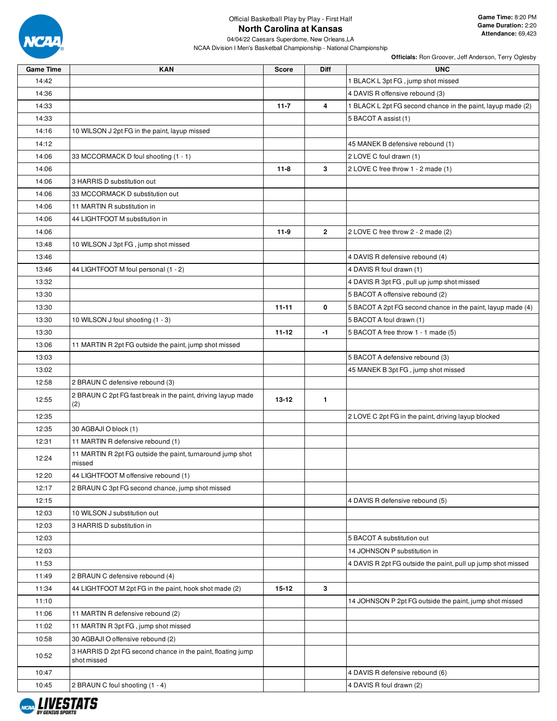

# Official Basketball Play by Play - First Half **North Carolina at Kansas**

04/04/22 Caesars Superdome, New Orleans,LA NCAA Division I Men's Basketball Championship - National Championship

| <b>Game Time</b> | <b>KAN</b>                                                                 | <b>Score</b> | Diff           | <b>UNC</b>                                                   |
|------------------|----------------------------------------------------------------------------|--------------|----------------|--------------------------------------------------------------|
| 14:42            |                                                                            |              |                | 1 BLACK L 3pt FG, jump shot missed                           |
| 14:36            |                                                                            |              |                | 4 DAVIS R offensive rebound (3)                              |
| 14:33            |                                                                            | $11 - 7$     | 4              | 1 BLACK L 2pt FG second chance in the paint, layup made (2)  |
| 14:33            |                                                                            |              |                | 5 BACOT A assist (1)                                         |
| 14:16            | 10 WILSON J 2pt FG in the paint, layup missed                              |              |                |                                                              |
| 14:12            |                                                                            |              |                | 45 MANEK B defensive rebound (1)                             |
| 14:06            | 33 MCCORMACK D foul shooting (1 - 1)                                       |              |                | 2 LOVE C foul drawn (1)                                      |
| 14:06            |                                                                            | $11 - 8$     | 3              | 2 LOVE C free throw 1 - 2 made (1)                           |
| 14:06            | 3 HARRIS D substitution out                                                |              |                |                                                              |
| 14:06            | 33 MCCORMACK D substitution out                                            |              |                |                                                              |
| 14:06            | 11 MARTIN R substitution in                                                |              |                |                                                              |
| 14:06            | 44 LIGHTFOOT M substitution in                                             |              |                |                                                              |
| 14:06            |                                                                            | $11-9$       | $\overline{2}$ | 2 LOVE C free throw 2 - 2 made (2)                           |
| 13:48            | 10 WILSON J 3pt FG, jump shot missed                                       |              |                |                                                              |
| 13:46            |                                                                            |              |                | 4 DAVIS R defensive rebound (4)                              |
| 13:46            | 44 LIGHTFOOT M foul personal (1 - 2)                                       |              |                | 4 DAVIS R foul drawn (1)                                     |
| 13:32            |                                                                            |              |                | 4 DAVIS R 3pt FG, pull up jump shot missed                   |
| 13:30            |                                                                            |              |                | 5 BACOT A offensive rebound (2)                              |
| 13:30            |                                                                            | $11 - 11$    | 0              | 5 BACOT A 2pt FG second chance in the paint, layup made (4)  |
| 13:30            | 10 WILSON J foul shooting (1 - 3)                                          |              |                | 5 BACOT A foul drawn (1)                                     |
| 13:30            |                                                                            | $11 - 12$    | -1             | 5 BACOT A free throw 1 - 1 made (5)                          |
| 13:06            | 11 MARTIN R 2pt FG outside the paint, jump shot missed                     |              |                |                                                              |
| 13:03            |                                                                            |              |                | 5 BACOT A defensive rebound (3)                              |
| 13:02            |                                                                            |              |                | 45 MANEK B 3pt FG, jump shot missed                          |
| 12:58            | 2 BRAUN C defensive rebound (3)                                            |              |                |                                                              |
| 12:55            | 2 BRAUN C 2pt FG fast break in the paint, driving layup made<br>(2)        | $13 - 12$    | $\mathbf{1}$   |                                                              |
| 12:35            |                                                                            |              |                | 2 LOVE C 2pt FG in the paint, driving layup blocked          |
| 12:35            | 30 AGBAJI O block (1)                                                      |              |                |                                                              |
| 12:31            | 11 MARTIN R defensive rebound (1)                                          |              |                |                                                              |
| 12:24            | 11 MARTIN R 2pt FG outside the paint, turnaround jump shot<br>missed       |              |                |                                                              |
| 12:20            | 44 LIGHTFOOT M offensive rebound (1)                                       |              |                |                                                              |
| 12:17            | 2 BRAUN C 3pt FG second chance, jump shot missed                           |              |                |                                                              |
| 12:15            |                                                                            |              |                | 4 DAVIS R defensive rebound (5)                              |
| 12:03            | 10 WILSON J substitution out                                               |              |                |                                                              |
| 12:03            | 3 HARRIS D substitution in                                                 |              |                |                                                              |
| 12:03            |                                                                            |              |                | 5 BACOT A substitution out                                   |
| 12:03            |                                                                            |              |                | 14 JOHNSON P substitution in                                 |
| 11:53            |                                                                            |              |                | 4 DAVIS R 2pt FG outside the paint, pull up jump shot missed |
| 11:49            | 2 BRAUN C defensive rebound (4)                                            |              |                |                                                              |
| 11:34            | 44 LIGHTFOOT M 2pt FG in the paint, hook shot made (2)                     | $15 - 12$    | 3              |                                                              |
| 11:10            |                                                                            |              |                | 14 JOHNSON P 2pt FG outside the paint, jump shot missed      |
| 11:06            | 11 MARTIN R defensive rebound (2)                                          |              |                |                                                              |
| 11:02            | 11 MARTIN R 3pt FG, jump shot missed                                       |              |                |                                                              |
| 10:58            | 30 AGBAJI O offensive rebound (2)                                          |              |                |                                                              |
| 10:52            | 3 HARRIS D 2pt FG second chance in the paint, floating jump<br>shot missed |              |                |                                                              |
| 10:47            |                                                                            |              |                | 4 DAVIS R defensive rebound (6)                              |
| 10:45            | 2 BRAUN C foul shooting (1 - 4)                                            |              |                | 4 DAVIS R foul drawn (2)                                     |

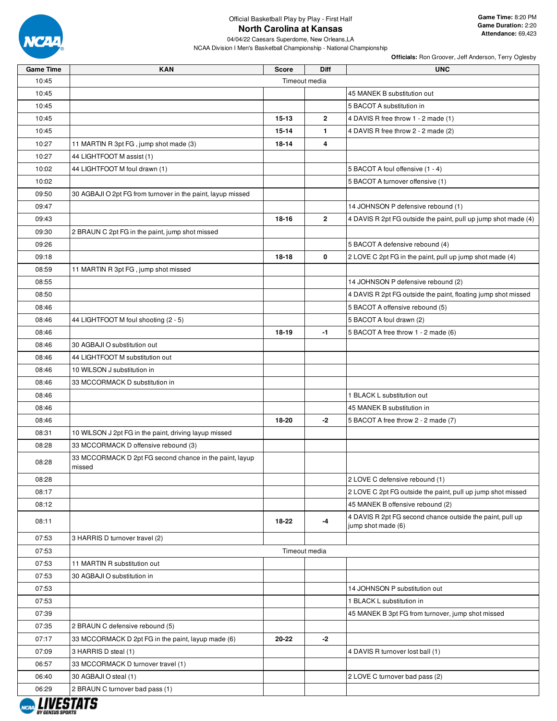

**Game Time:** 8:20 PM **Game Duration:** 2:20 **Attendance:** 69,423

04/04/22 Caesars Superdome, New Orleans,LA NCAA Division I Men's Basketball Championship - National Championship

| <b>Game Time</b> | <b>KAN</b>                                                        | <b>Score</b>  | Diff          | <b>UNC</b>                                                                      |
|------------------|-------------------------------------------------------------------|---------------|---------------|---------------------------------------------------------------------------------|
| 10:45            |                                                                   |               | Timeout media |                                                                                 |
| 10:45            |                                                                   |               |               | 45 MANEK B substitution out                                                     |
| 10:45            |                                                                   |               |               | 5 BACOT A substitution in                                                       |
| 10:45            |                                                                   | 15-13         | $\mathbf{2}$  | 4 DAVIS R free throw 1 - 2 made (1)                                             |
| 10:45            |                                                                   | 15-14         | 1.            | 4 DAVIS R free throw 2 - 2 made (2)                                             |
| 10:27            | 11 MARTIN R 3pt FG, jump shot made (3)                            | 18-14         | 4             |                                                                                 |
| 10:27            | 44 LIGHTFOOT M assist (1)                                         |               |               |                                                                                 |
| 10:02            | 44 LIGHTFOOT M foul drawn (1)                                     |               |               | 5 BACOT A foul offensive (1 - 4)                                                |
| 10:02            |                                                                   |               |               | 5 BACOT A turnover offensive (1)                                                |
| 09:50            | 30 AGBAJI O 2pt FG from turnover in the paint, layup missed       |               |               |                                                                                 |
| 09:47            |                                                                   |               |               | 14 JOHNSON P defensive rebound (1)                                              |
| 09:43            |                                                                   | 18-16         | $\mathbf{2}$  | 4 DAVIS R 2pt FG outside the paint, pull up jump shot made (4)                  |
| 09:30            | 2 BRAUN C 2pt FG in the paint, jump shot missed                   |               |               |                                                                                 |
| 09:26            |                                                                   |               |               | 5 BACOT A defensive rebound (4)                                                 |
| 09:18            |                                                                   | 18-18         | 0             | 2 LOVE C 2pt FG in the paint, pull up jump shot made (4)                        |
| 08:59            | 11 MARTIN R 3pt FG, jump shot missed                              |               |               |                                                                                 |
| 08:55            |                                                                   |               |               | 14 JOHNSON P defensive rebound (2)                                              |
| 08:50            |                                                                   |               |               | 4 DAVIS R 2pt FG outside the paint, floating jump shot missed                   |
| 08:46            |                                                                   |               |               | 5 BACOT A offensive rebound (5)                                                 |
| 08:46            | 44 LIGHTFOOT M foul shooting (2 - 5)                              |               |               | 5 BACOT A foul drawn (2)                                                        |
| 08:46            |                                                                   | $18 - 19$     | $-1$          | 5 BACOT A free throw 1 - 2 made (6)                                             |
| 08:46            | 30 AGBAJI O substitution out                                      |               |               |                                                                                 |
|                  |                                                                   |               |               |                                                                                 |
| 08:46            | 44 LIGHTFOOT M substitution out                                   |               |               |                                                                                 |
| 08:46            | 10 WILSON J substitution in                                       |               |               |                                                                                 |
| 08:46            | 33 MCCORMACK D substitution in                                    |               |               |                                                                                 |
| 08:46            |                                                                   |               |               | 1 BLACK L substitution out                                                      |
| 08:46            |                                                                   |               |               | 45 MANEK B substitution in                                                      |
| 08:46            |                                                                   | 18-20         | -2            | 5 BACOT A free throw 2 - 2 made (7)                                             |
| 08:31            | 10 WILSON J 2pt FG in the paint, driving layup missed             |               |               |                                                                                 |
| 08:28            | 33 MCCORMACK D offensive rebound (3)                              |               |               |                                                                                 |
| 08:28            | 33 MCCORMACK D 2pt FG second chance in the paint, layup<br>missed |               |               |                                                                                 |
| 08:28            |                                                                   |               |               | 2 LOVE C defensive rebound (1)                                                  |
| 08:17            |                                                                   |               |               | 2 LOVE C 2pt FG outside the paint, pull up jump shot missed                     |
| 08:12            |                                                                   |               |               | 45 MANEK B offensive rebound (2)                                                |
| 08:11            |                                                                   | 18-22         | $-4$          | 4 DAVIS R 2pt FG second chance outside the paint, pull up<br>jump shot made (6) |
| 07:53            | 3 HARRIS D turnover travel (2)                                    |               |               |                                                                                 |
| 07:53            |                                                                   | Timeout media |               |                                                                                 |
| 07:53            | 11 MARTIN R substitution out                                      |               |               |                                                                                 |
| 07:53            | 30 AGBAJI O substitution in                                       |               |               |                                                                                 |
| 07:53            |                                                                   |               |               | 14 JOHNSON P substitution out                                                   |
| 07:53            |                                                                   |               |               | 1 BLACK L substitution in                                                       |
| 07:39            |                                                                   |               |               | 45 MANEK B 3pt FG from turnover, jump shot missed                               |
| 07:35            | 2 BRAUN C defensive rebound (5)                                   |               |               |                                                                                 |
| 07:17            | 33 MCCORMACK D 2pt FG in the paint, layup made (6)                | 20-22         | -2            |                                                                                 |
| 07:09            | 3 HARRIS D steal (1)                                              |               |               | 4 DAVIS R turnover lost ball (1)                                                |
| 06:57            | 33 MCCORMACK D turnover travel (1)                                |               |               |                                                                                 |
| 06:40            | 30 AGBAJI O steal (1)                                             |               |               | 2 LOVE C turnover bad pass (2)                                                  |
| 06:29            | 2 BRAUN C turnover bad pass (1)                                   |               |               |                                                                                 |
|                  |                                                                   |               |               |                                                                                 |

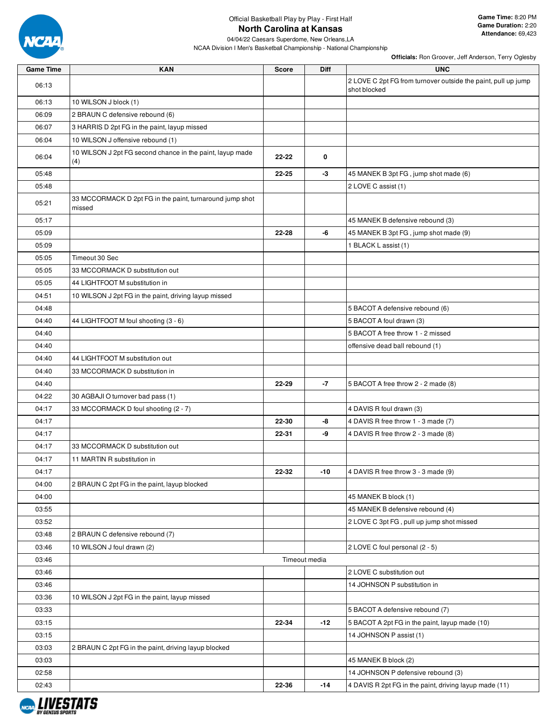

# Official Basketball Play by Play - First Half **North Carolina at Kansas**

04/04/22 Caesars Superdome, New Orleans,LA

NCAA Division I Men's Basketball Championship - National Championship

**Game Time:** 8:20 PM **Game Duration:** 2:20 **Attendance:** 69,423

| <b>Game Time</b> | <b>KAN</b>                                                         | <b>Score</b> | <b>Diff</b>   | <b>UNC</b>                                                                    |
|------------------|--------------------------------------------------------------------|--------------|---------------|-------------------------------------------------------------------------------|
| 06:13            |                                                                    |              |               | 2 LOVE C 2pt FG from turnover outside the paint, pull up jump<br>shot blocked |
| 06:13            | 10 WILSON J block (1)                                              |              |               |                                                                               |
| 06:09            | 2 BRAUN C defensive rebound (6)                                    |              |               |                                                                               |
| 06:07            | 3 HARRIS D 2pt FG in the paint, layup missed                       |              |               |                                                                               |
| 06:04            | 10 WILSON J offensive rebound (1)                                  |              |               |                                                                               |
| 06:04            | 10 WILSON J 2pt FG second chance in the paint, layup made<br>(4)   | 22-22        | 0             |                                                                               |
| 05:48            |                                                                    | $22 - 25$    | -3            | 45 MANEK B 3pt FG, jump shot made (6)                                         |
| 05:48            |                                                                    |              |               | 2 LOVE C assist (1)                                                           |
| 05:21            | 33 MCCORMACK D 2pt FG in the paint, turnaround jump shot<br>missed |              |               |                                                                               |
| 05:17            |                                                                    |              |               | 45 MANEK B defensive rebound (3)                                              |
| 05:09            |                                                                    | 22-28        | -6            | 45 MANEK B 3pt FG, jump shot made (9)                                         |
| 05:09            |                                                                    |              |               | 1 BLACK L assist (1)                                                          |
| 05:05            | Timeout 30 Sec                                                     |              |               |                                                                               |
| 05:05            | 33 MCCORMACK D substitution out                                    |              |               |                                                                               |
| 05:05            | 44 LIGHTFOOT M substitution in                                     |              |               |                                                                               |
| 04:51            | 10 WILSON J 2pt FG in the paint, driving layup missed              |              |               |                                                                               |
| 04:48            |                                                                    |              |               | 5 BACOT A defensive rebound (6)                                               |
| 04:40            | 44 LIGHTFOOT M foul shooting (3 - 6)                               |              |               | 5 BACOT A foul drawn (3)                                                      |
| 04:40            |                                                                    |              |               | 5 BACOT A free throw 1 - 2 missed                                             |
| 04:40            |                                                                    |              |               | offensive dead ball rebound (1)                                               |
| 04:40            | 44 LIGHTFOOT M substitution out                                    |              |               |                                                                               |
| 04:40            | 33 MCCORMACK D substitution in                                     |              |               |                                                                               |
| 04:40            |                                                                    | 22-29        | $-7$          | 5 BACOT A free throw 2 - 2 made (8)                                           |
| 04:22            | 30 AGBAJI O turnover bad pass (1)                                  |              |               |                                                                               |
| 04:17            | 33 MCCORMACK D foul shooting (2 - 7)                               |              |               | 4 DAVIS R foul drawn (3)                                                      |
| 04:17            |                                                                    | 22-30        | -8            | 4 DAVIS R free throw 1 - 3 made (7)                                           |
| 04:17            |                                                                    | 22-31        | -9            | 4 DAVIS R free throw 2 - 3 made (8)                                           |
| 04:17            | 33 MCCORMACK D substitution out                                    |              |               |                                                                               |
| 04:17            | 11 MARTIN R substitution in                                        |              |               |                                                                               |
| 04:17            |                                                                    | 22-32        | -10           | 4 DAVIS R free throw 3 - 3 made (9)                                           |
| 04:00            | 2 BRAUN C 2pt FG in the paint, layup blocked                       |              |               |                                                                               |
| 04:00            |                                                                    |              |               | 45 MANEK B block (1)                                                          |
| 03:55            |                                                                    |              |               | 45 MANEK B defensive rebound (4)                                              |
| 03:52            |                                                                    |              |               | 2 LOVE C 3pt FG, pull up jump shot missed                                     |
| 03:48            | 2 BRAUN C defensive rebound (7)                                    |              |               |                                                                               |
| 03:46            | 10 WILSON J foul drawn (2)                                         |              |               | 2 LOVE C foul personal (2 - 5)                                                |
| 03:46            |                                                                    |              | Timeout media |                                                                               |
| 03:46            |                                                                    |              |               | 2 LOVE C substitution out                                                     |
| 03:46            |                                                                    |              |               | 14 JOHNSON P substitution in                                                  |
| 03:36            | 10 WILSON J 2pt FG in the paint, layup missed                      |              |               |                                                                               |
| 03:33            |                                                                    |              |               | 5 BACOT A defensive rebound (7)                                               |
| 03:15            |                                                                    | 22-34        | $-12$         | 5 BACOT A 2pt FG in the paint, layup made (10)                                |
| 03:15            |                                                                    |              |               | 14 JOHNSON P assist (1)                                                       |
| 03:03            | 2 BRAUN C 2pt FG in the paint, driving layup blocked               |              |               |                                                                               |
| 03:03            |                                                                    |              |               | 45 MANEK B block (2)                                                          |
| 02:58            |                                                                    |              |               | 14 JOHNSON P defensive rebound (3)                                            |
| 02:43            |                                                                    | 22-36        | $-14$         | 4 DAVIS R 2pt FG in the paint, driving layup made (11)                        |

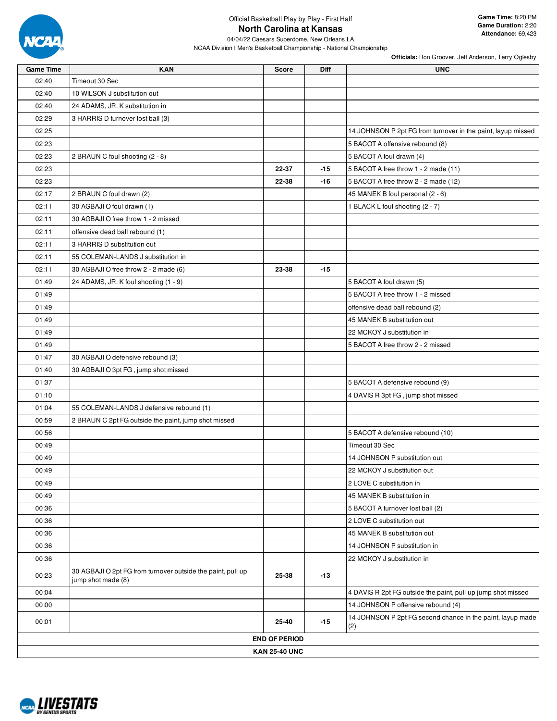

04/04/22 Caesars Superdome, New Orleans,LA

NCAA Division I Men's Basketball Championship - National Championship

| <b>Game Time</b> | <b>KAN</b>                                                                        | <b>Score</b>         | Diff  | <b>UNC</b>                                                        |
|------------------|-----------------------------------------------------------------------------------|----------------------|-------|-------------------------------------------------------------------|
| 02:40            | Timeout 30 Sec                                                                    |                      |       |                                                                   |
| 02:40            | 10 WILSON J substitution out                                                      |                      |       |                                                                   |
| 02:40            | 24 ADAMS, JR. K substitution in                                                   |                      |       |                                                                   |
| 02:29            | 3 HARRIS D turnover lost ball (3)                                                 |                      |       |                                                                   |
| 02:25            |                                                                                   |                      |       | 14 JOHNSON P 2pt FG from turnover in the paint, layup missed      |
| 02:23            |                                                                                   |                      |       | 5 BACOT A offensive rebound (8)                                   |
| 02:23            | 2 BRAUN C foul shooting (2 - 8)                                                   |                      |       | 5 BACOT A foul drawn (4)                                          |
| 02:23            |                                                                                   | 22-37                | $-15$ | 5 BACOT A free throw 1 - 2 made (11)                              |
| 02:23            |                                                                                   | 22-38                | $-16$ | 5 BACOT A free throw 2 - 2 made (12)                              |
| 02:17            | 2 BRAUN C foul drawn (2)                                                          |                      |       | 45 MANEK B foul personal (2 - 6)                                  |
| 02:11            | 30 AGBAJI O foul drawn (1)                                                        |                      |       | 1 BLACK L foul shooting (2 - 7)                                   |
| 02:11            | 30 AGBAJI O free throw 1 - 2 missed                                               |                      |       |                                                                   |
| 02:11            | offensive dead ball rebound (1)                                                   |                      |       |                                                                   |
| 02:11            | 3 HARRIS D substitution out                                                       |                      |       |                                                                   |
| 02:11            | 55 COLEMAN-LANDS J substitution in                                                |                      |       |                                                                   |
| 02:11            | 30 AGBAJI O free throw 2 - 2 made (6)                                             | 23-38                | $-15$ |                                                                   |
| 01:49            | 24 ADAMS, JR. K foul shooting (1 - 9)                                             |                      |       | 5 BACOT A foul drawn (5)                                          |
| 01:49            |                                                                                   |                      |       | 5 BACOT A free throw 1 - 2 missed                                 |
| 01:49            |                                                                                   |                      |       | offensive dead ball rebound (2)                                   |
| 01:49            |                                                                                   |                      |       | 45 MANEK B substitution out                                       |
| 01:49            |                                                                                   |                      |       | 22 MCKOY J substitution in                                        |
| 01:49            |                                                                                   |                      |       | 5 BACOT A free throw 2 - 2 missed                                 |
| 01:47            | 30 AGBAJI O defensive rebound (3)                                                 |                      |       |                                                                   |
| 01:40            | 30 AGBAJI O 3pt FG, jump shot missed                                              |                      |       |                                                                   |
| 01:37            |                                                                                   |                      |       | 5 BACOT A defensive rebound (9)                                   |
| 01:10            |                                                                                   |                      |       | 4 DAVIS R 3pt FG, jump shot missed                                |
| 01:04            | 55 COLEMAN-LANDS J defensive rebound (1)                                          |                      |       |                                                                   |
| 00:59            | 2 BRAUN C 2pt FG outside the paint, jump shot missed                              |                      |       |                                                                   |
| 00:56            |                                                                                   |                      |       | 5 BACOT A defensive rebound (10)                                  |
| 00:49            |                                                                                   |                      |       | Timeout 30 Sec                                                    |
| 00:49            |                                                                                   |                      |       | 14 JOHNSON P substitution out                                     |
| 00:49            |                                                                                   |                      |       | 22 MCKOY J substitution out                                       |
| 00:49            |                                                                                   |                      |       | 2 LOVE C substitution in                                          |
| 00:49            |                                                                                   |                      |       | 45 MANEK B substitution in                                        |
| 00:36            |                                                                                   |                      |       | 5 BACOT A turnover lost ball (2)                                  |
| 00:36            |                                                                                   |                      |       | 2 LOVE C substitution out                                         |
| 00:36            |                                                                                   |                      |       | 45 MANEK B substitution out                                       |
| 00:36            |                                                                                   |                      |       | 14 JOHNSON P substitution in                                      |
| 00:36            |                                                                                   |                      |       | 22 MCKOY J substitution in                                        |
| 00:23            | 30 AGBAJI O 2pt FG from turnover outside the paint, pull up<br>jump shot made (8) | 25-38                | $-13$ |                                                                   |
| 00:04            |                                                                                   |                      |       | 4 DAVIS R 2pt FG outside the paint, pull up jump shot missed      |
| 00:00            |                                                                                   |                      |       | 14 JOHNSON P offensive rebound (4)                                |
| 00:01            |                                                                                   | 25-40                | $-15$ | 14 JOHNSON P 2pt FG second chance in the paint, layup made<br>(2) |
|                  |                                                                                   | <b>END OF PERIOD</b> |       |                                                                   |
|                  |                                                                                   | <b>KAN 25-40 UNC</b> |       |                                                                   |

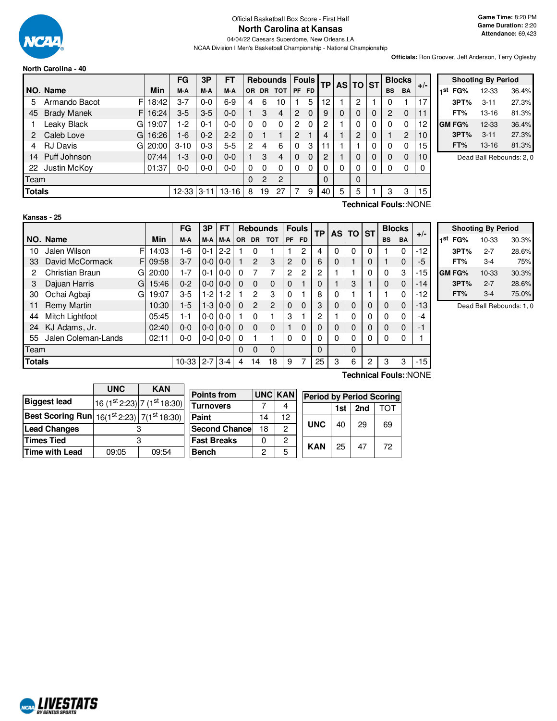

**North Carolina - 40**

#### Official Basketball Box Score - First Half **North Carolina at Kansas**

04/04/22 Caesars Superdome, New Orleans,LA NCAA Division I Men's Basketball Championship - National Championship

**Officials:** Ron Groover, Jeff Anderson, Terry Oglesby

|               |                          |            | FG        | 3P       | FТ        |           |                | <b>Rebounds</b> |                | <b>Fouls</b> | <b>TP</b> |   | AS TO ST       |          | <b>Blocks</b> |           |       |
|---------------|--------------------------|------------|-----------|----------|-----------|-----------|----------------|-----------------|----------------|--------------|-----------|---|----------------|----------|---------------|-----------|-------|
|               | NO. Name                 | <b>Min</b> | M-A       | M-A      | M-A       | <b>OR</b> | <b>DR</b>      | <b>TOT</b>      | PF             | <b>FD</b>    |           |   |                |          | <b>BS</b>     | <b>BA</b> | $+/-$ |
| 5             | F<br>Armando Bacot       | 18:42      | $3 - 7$   | $0 - 0$  | 6-9       | 4         | 6              | 10              |                | 5            | 12        |   | 2              |          | 0             |           | 17    |
| 45            | F.<br><b>Brady Manek</b> | 16:24      | $3-5$     | $3-5$    | $0 - 0$   |           | 3              | 4               | 2              | $\Omega$     | 9         | 0 | $\Omega$       | 0        | 2             | 0         | 11    |
|               | Leaky Black<br>G         | 19:07      | 1-2       | $0 - 1$  | 0-0       | 0         | 0              | 0               | 2              | $\Omega$     | 2         |   | $\Omega$       | 0        | $\Omega$      | 0         | 12    |
|               | Caleb Love<br>G          | 16:26      | $1-6$     | $0 - 2$  | $2 - 2$   | 0         |                |                 | $\overline{2}$ |              | 4         |   | $\overline{2}$ | 0        |               | 2         | 10    |
| 4             | <b>RJ Davis</b><br>Gl    | 20:00      | $3 - 10$  | $0 - 3$  | $5-5$     | 2         | 4              | 6               | 0              | 3            | 11        |   |                | $\Omega$ | 0             | 0         | 15    |
| 14            | Puff Johnson             | 07:44      | $1 - 3$   | $0 - 0$  | $0 - 0$   |           | 3              | 4               | $\Omega$       | $\Omega$     | 2         |   | 0              | 0        | $\Omega$      | 0         | 10    |
| 22            | Justin McKoy             | 01:37      | $0-0$     | $0-0$    | 0-0       |           | 0              | 0               | 0              | 0            | 0         | 0 | 0              | 0        | 0             | 0         | 0     |
| Team          |                          |            |           |          | 0         | 2         | $\overline{2}$ |                 |                | 0            |           | 0 |                |          |               |           |       |
| <b>Totals</b> |                          |            | $12 - 33$ | $3 - 11$ | $13 - 16$ | 8         | 19             | 27              | 7              | 9            | 40        | 5 | 5              |          | 3             | 3         | 15    |

|     | <b>Shooting By Period</b> |           |       |  |  |  |  |
|-----|---------------------------|-----------|-------|--|--|--|--|
| 1st | FG%                       | 12-33     | 36.4% |  |  |  |  |
|     | 3PT%                      | $3 - 11$  | 27.3% |  |  |  |  |
|     | FT%                       | $13 - 16$ | 81.3% |  |  |  |  |
|     | GM FG%                    | 12-33     | 36.4% |  |  |  |  |
|     | 3PT%                      | $3 - 11$  | 27.3% |  |  |  |  |
|     | FT%                       | 13-16     | 81.3% |  |  |  |  |

Dead Ball Rebounds: 2, 0

| Kansas |
|--------|
|--------|

**Technical Fouls:**:NONE

|               |                     |    |            | FG      | 3P      | FT      |           | <b>Rebounds</b> |                |              | <b>Fouls</b> | <b>TP</b>    |          | AS TO ST |          |           | <b>Blocks</b> | $+/-$ |
|---------------|---------------------|----|------------|---------|---------|---------|-----------|-----------------|----------------|--------------|--------------|--------------|----------|----------|----------|-----------|---------------|-------|
|               | NO. Name            |    | <b>Min</b> | M-A     | M-A     | M-A     | <b>OR</b> | <b>DR</b>       | <b>TOT</b>     | <b>PF</b>    | <b>FD</b>    |              |          |          |          | <b>BS</b> | <b>BA</b>     |       |
| 10            | Jalen Wilson        | F  | 14:03      | 1-6     | 0-1     | $2 - 2$ |           | 0               |                |              | 2            | 4            | 0        | $\Omega$ | $\Omega$ |           | 0             | $-12$ |
| 33            | David McCormack     | F. | 09:58      | $3 - 7$ | $0-0$   | $0 - 0$ |           | $\overline{2}$  | 3              | 2            | $\Omega$     | 6            | $\Omega$ |          | 0        |           | $\Omega$      | -5    |
| 2             | Christian Braun     | G  | 20:00      | 1-7     | $0 - 1$ | $0 - 0$ | 0         | 7               | 7              | 2            | 2            | 2            |          |          | $\Omega$ | $\Omega$  | 3             | $-15$ |
| 3             | Dajuan Harris       | G  | 15:46      | $0 - 2$ | $0-0$   | $0 - 0$ | $\Omega$  | $\Omega$        | $\Omega$       | $\Omega$     |              | 0            |          | 3        |          | $\Omega$  | $\Omega$      | $-14$ |
| 30            | Ochai Agbaji        | G  | 19:07      | $3-5$   | $1-2$   | $1-2$   |           | $\overline{2}$  | 3              | $\mathbf{0}$ |              | 8            | 0        |          |          |           | 0             | $-12$ |
| 11            | <b>Remy Martin</b>  |    | 10:30      | $1-5$   | $1-3$   | $0 - 0$ | $\Omega$  | $\overline{2}$  | $\overline{2}$ | $\Omega$     | $\Omega$     | 3            | $\Omega$ | $\Omega$ | $\Omega$ | $\Omega$  | $\Omega$      | $-13$ |
| 44            | Mitch Lightfoot     |    | 05:45      | 1-1     | $0-0$   | $0 - 0$ |           | 0               |                | 3            |              | $\mathbf{2}$ |          | $\Omega$ | $\Omega$ | $\Omega$  | 0             | $-4$  |
| 24            | KJ Adams, Jr.       |    | 02:40      | $0 - 0$ | $0-0$   | $0 - 0$ | 0         | $\Omega$        | $\Omega$       |              | $\Omega$     | 0            | $\Omega$ | $\Omega$ | 0        | $\Omega$  | $\Omega$      | $-1$  |
| 55            | Jalen Coleman-Lands |    | 02:11      | $0 - 0$ | $0-0$   | $0 - 0$ | 0         |                 |                | $\Omega$     | $\Omega$     | 0            | 0        | $\Omega$ | 0        | $\Omega$  | 0             |       |
| Team          |                     |    |            |         |         |         | $\Omega$  | $\Omega$        | $\Omega$       |              |              | $\Omega$     |          | $\Omega$ |          |           |               |       |
| <b>Totals</b> |                     |    |            | 10-33   | $2 - 7$ | $3 - 4$ | 4         | 14              | 18             | 9            |              | 25           | 3        | 6        | 2        | 3         | 3             | $-15$ |

|     |        | <b>Shooting By Period</b> |       |
|-----|--------|---------------------------|-------|
| 1st | FG%    | 10-33                     | 30.3% |
|     | 3PT%   | $2 - 7$                   | 28.6% |
|     | FT%    | 3-4                       | 75%   |
|     | GM FG% | 10-33                     | 30.3% |
|     | 3PT%   | $2 - 7$                   | 28.6% |
|     | FT%    | 3-4                       | 75.0% |

Dead Ball Rebounds: 1, 0

|                                                                   | <b>UNC</b><br><b>KAN</b> |                             |  |  |  |  |
|-------------------------------------------------------------------|--------------------------|-----------------------------|--|--|--|--|
| <b>Biggest lead</b>                                               |                          | 16 (1st 2:23) 7 (1st 18:30) |  |  |  |  |
| <b>Best Scoring Run</b> $16(1^{st}2:23)$ 7(1 <sup>st</sup> 18:30) |                          |                             |  |  |  |  |
| <b>Lead Changes</b>                                               |                          |                             |  |  |  |  |
| <b>Times Tied</b>                                                 |                          |                             |  |  |  |  |
| Time with Lead                                                    | 09:05                    | 09:54                       |  |  |  |  |

NCAL LIVESTATS

| <b>Points from</b>    | <b>UNC KAN</b> |    |            | <b>Period by Period Scoring</b> |     |     |  |
|-----------------------|----------------|----|------------|---------------------------------|-----|-----|--|
| <b>Turnovers</b>      |                |    |            | 1st                             | 2nd | ΤΩΤ |  |
| Paint                 | 14             | 12 |            |                                 | 29  |     |  |
| <b>Second Chancel</b> | 18             | 2  | <b>UNC</b> | 40                              |     | 69  |  |
| <b>Fast Breaks</b>    |                | 2  | <b>KAN</b> | 25                              | 47  | 72  |  |
| <b>Bench</b>          |                | 5  |            |                                 |     |     |  |

**Technical Fouls:**:NONE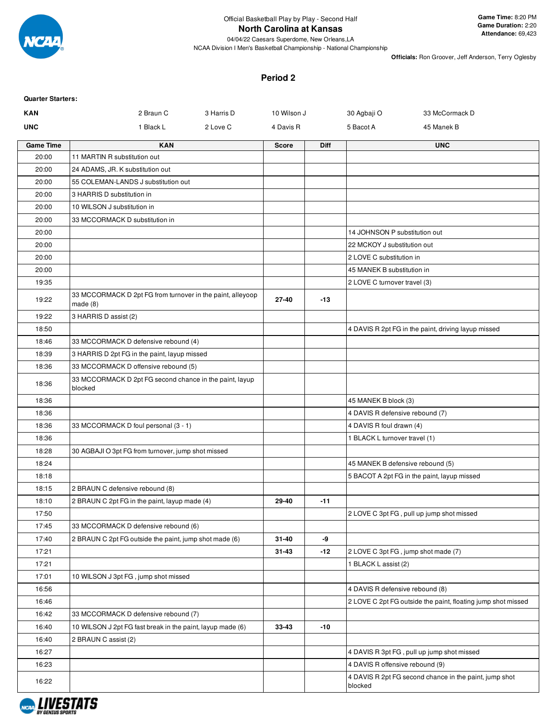

# **North Carolina at Kansas**

04/04/22 Caesars Superdome, New Orleans,LA

**Game Time:** 8:20 PM **Game Duration:** 2:20 **Attendance:** 69,423

NCAA Division I Men's Basketball Championship - National Championship

**Officials:** Ron Groover, Jeff Anderson, Terry Oglesby

#### **Period 2**

| <b>Quarter Starters:</b> |                                                                       |            |              |             |                                     |                                                              |
|--------------------------|-----------------------------------------------------------------------|------------|--------------|-------------|-------------------------------------|--------------------------------------------------------------|
| <b>KAN</b>               | 2 Braun C                                                             | 3 Harris D | 10 Wilson J  |             | 30 Agbaji O                         | 33 McCormack D                                               |
| <b>UNC</b>               | 1 Black L                                                             | 2 Love C   | 4 Davis R    |             | 5 Bacot A                           | 45 Manek B                                                   |
| <b>Game Time</b>         | <b>KAN</b>                                                            |            | <b>Score</b> | <b>Diff</b> |                                     | <b>UNC</b>                                                   |
| 20:00                    | 11 MARTIN R substitution out                                          |            |              |             |                                     |                                                              |
| 20:00                    | 24 ADAMS, JR. K substitution out                                      |            |              |             |                                     |                                                              |
| 20:00                    | 55 COLEMAN-LANDS J substitution out                                   |            |              |             |                                     |                                                              |
| 20:00                    | 3 HARRIS D substitution in                                            |            |              |             |                                     |                                                              |
| 20:00                    | 10 WILSON J substitution in                                           |            |              |             |                                     |                                                              |
| 20:00                    | 33 MCCORMACK D substitution in                                        |            |              |             |                                     |                                                              |
| 20:00                    |                                                                       |            |              |             | 14 JOHNSON P substitution out       |                                                              |
| 20:00                    |                                                                       |            |              |             | 22 MCKOY J substitution out         |                                                              |
| 20:00                    |                                                                       |            |              |             | 2 LOVE C substitution in            |                                                              |
| 20:00                    |                                                                       |            |              |             | 45 MANEK B substitution in          |                                                              |
| 19:35                    |                                                                       |            |              |             | 2 LOVE C turnover travel (3)        |                                                              |
| 19:22                    | 33 MCCORMACK D 2pt FG from turnover in the paint, alleyoop<br>made(8) |            | 27-40        | $-13$       |                                     |                                                              |
| 19:22                    | 3 HARRIS D assist (2)                                                 |            |              |             |                                     |                                                              |
| 18:50                    |                                                                       |            |              |             |                                     | 4 DAVIS R 2pt FG in the paint, driving layup missed          |
| 18:46                    | 33 MCCORMACK D defensive rebound (4)                                  |            |              |             |                                     |                                                              |
| 18:39                    | 3 HARRIS D 2pt FG in the paint, layup missed                          |            |              |             |                                     |                                                              |
| 18:36                    | 33 MCCORMACK D offensive rebound (5)                                  |            |              |             |                                     |                                                              |
| 18:36                    | 33 MCCORMACK D 2pt FG second chance in the paint, layup<br>blocked    |            |              |             |                                     |                                                              |
| 18:36                    |                                                                       |            |              |             | 45 MANEK B block (3)                |                                                              |
| 18:36                    |                                                                       |            |              |             | 4 DAVIS R defensive rebound (7)     |                                                              |
| 18:36                    | 33 MCCORMACK D foul personal (3 - 1)                                  |            |              |             | 4 DAVIS R foul drawn (4)            |                                                              |
| 18:36                    |                                                                       |            |              |             | 1 BLACK L turnover travel (1)       |                                                              |
| 18:28                    | 30 AGBAJI O 3pt FG from turnover, jump shot missed                    |            |              |             |                                     |                                                              |
| 18:24                    |                                                                       |            |              |             | 45 MANEK B defensive rebound (5)    |                                                              |
| 18:18                    |                                                                       |            |              |             |                                     | 5 BACOT A 2pt FG in the paint, layup missed                  |
| 18:15                    | 2 BRAUN C defensive rebound (8)                                       |            |              |             |                                     |                                                              |
| 18:10                    | 2 BRAUN C 2pt FG in the paint, layup made (4)                         |            | 29-40        | -11         |                                     |                                                              |
| 17:50                    |                                                                       |            |              |             |                                     | 2 LOVE C 3pt FG, pull up jump shot missed                    |
| 17:45                    | 33 MCCORMACK D defensive rebound (6)                                  |            |              |             |                                     |                                                              |
| 17:40                    | 2 BRAUN C 2pt FG outside the paint, jump shot made (6)                |            | 31-40        | -9          |                                     |                                                              |
| 17:21                    |                                                                       |            | $31 - 43$    | -12         | 2 LOVE C 3pt FG, jump shot made (7) |                                                              |
| 17:21                    |                                                                       |            |              |             | 1 BLACK L assist (2)                |                                                              |
| 17:01                    | 10 WILSON J 3pt FG, jump shot missed                                  |            |              |             |                                     |                                                              |
| 16:56                    |                                                                       |            |              |             | 4 DAVIS R defensive rebound (8)     |                                                              |
| 16:46                    |                                                                       |            |              |             |                                     | 2 LOVE C 2pt FG outside the paint, floating jump shot missed |
| 16:42                    | 33 MCCORMACK D defensive rebound (7)                                  |            |              |             |                                     |                                                              |
| 16:40                    | 10 WILSON J 2pt FG fast break in the paint, layup made (6)            |            | 33-43        | -10         |                                     |                                                              |
| 16:40                    | 2 BRAUN C assist (2)                                                  |            |              |             |                                     |                                                              |
| 16:27                    |                                                                       |            |              |             |                                     | 4 DAVIS R 3pt FG, pull up jump shot missed                   |
| 16:23                    |                                                                       |            |              |             | 4 DAVIS R offensive rebound (9)     |                                                              |
| 16:22                    |                                                                       |            |              |             | blocked                             | 4 DAVIS R 2pt FG second chance in the paint, jump shot       |

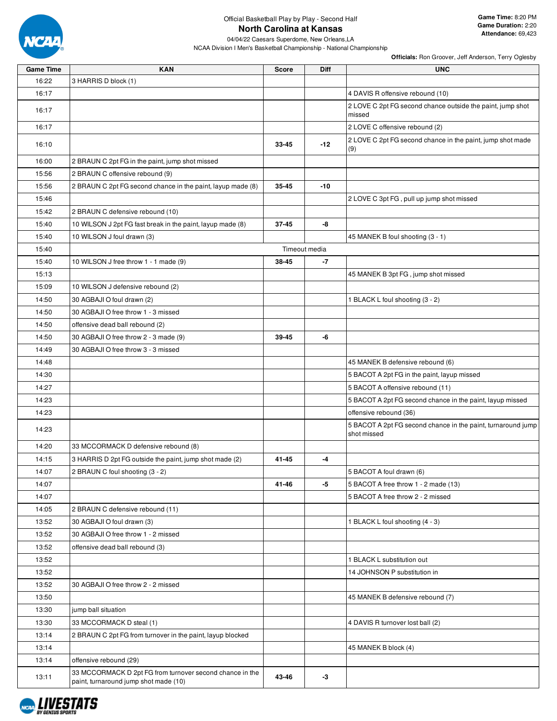

| <b>Game Time</b> | <b>KAN</b>                                                                                        | <b>Score</b> | Diff          | <b>UNC</b>                                                                  |
|------------------|---------------------------------------------------------------------------------------------------|--------------|---------------|-----------------------------------------------------------------------------|
| 16:22            | 3 HARRIS D block (1)                                                                              |              |               |                                                                             |
| 16:17            |                                                                                                   |              |               | 4 DAVIS R offensive rebound (10)                                            |
| 16:17            |                                                                                                   |              |               | 2 LOVE C 2pt FG second chance outside the paint, jump shot<br>missed        |
| 16:17            |                                                                                                   |              |               | 2 LOVE C offensive rebound (2)                                              |
| 16:10            |                                                                                                   | 33-45        | $-12$         | 2 LOVE C 2pt FG second chance in the paint, jump shot made<br>(9)           |
| 16:00            | 2 BRAUN C 2pt FG in the paint, jump shot missed                                                   |              |               |                                                                             |
| 15:56            | 2 BRAUN C offensive rebound (9)                                                                   |              |               |                                                                             |
| 15:56            | 2 BRAUN C 2pt FG second chance in the paint, layup made (8)                                       | 35-45        | $-10$         |                                                                             |
| 15:46            |                                                                                                   |              |               | 2 LOVE C 3pt FG, pull up jump shot missed                                   |
| 15:42            | 2 BRAUN C defensive rebound (10)                                                                  |              |               |                                                                             |
| 15:40            | 10 WILSON J 2pt FG fast break in the paint, layup made (8)                                        | 37-45        | -8            |                                                                             |
| 15:40            | 10 WILSON J foul drawn (3)                                                                        |              |               | 45 MANEK B foul shooting (3 - 1)                                            |
| 15:40            |                                                                                                   |              | Timeout media |                                                                             |
| 15:40            | 10 WILSON J free throw 1 - 1 made (9)                                                             | 38-45        | -7            |                                                                             |
| 15:13            |                                                                                                   |              |               | 45 MANEK B 3pt FG, jump shot missed                                         |
| 15:09            | 10 WILSON J defensive rebound (2)                                                                 |              |               |                                                                             |
| 14:50            | 30 AGBAJI O foul drawn (2)                                                                        |              |               | 1 BLACK L foul shooting (3 - 2)                                             |
| 14:50            | 30 AGBAJI O free throw 1 - 3 missed                                                               |              |               |                                                                             |
| 14:50            | offensive dead ball rebound (2)                                                                   |              |               |                                                                             |
| 14:50            | 30 AGBAJI O free throw 2 - 3 made (9)                                                             | 39-45        | -6            |                                                                             |
| 14:49            | 30 AGBAJI O free throw 3 - 3 missed                                                               |              |               |                                                                             |
| 14:48            |                                                                                                   |              |               | 45 MANEK B defensive rebound (6)                                            |
| 14:30            |                                                                                                   |              |               | 5 BACOT A 2pt FG in the paint, layup missed                                 |
| 14:27            |                                                                                                   |              |               | 5 BACOT A offensive rebound (11)                                            |
| 14:23            |                                                                                                   |              |               | 5 BACOT A 2pt FG second chance in the paint, layup missed                   |
| 14:23            |                                                                                                   |              |               | offensive rebound (36)                                                      |
| 14:23            |                                                                                                   |              |               | 5 BACOT A 2pt FG second chance in the paint, turnaround jump<br>shot missed |
| 14:20            | 33 MCCORMACK D defensive rebound (8)                                                              |              |               |                                                                             |
| 14:15            | 3 HARRIS D 2pt FG outside the paint, jump shot made (2)                                           | 41-45        | -4            |                                                                             |
| 14:07            | 2 BRAUN C foul shooting (3 - 2)                                                                   |              |               | 5 BACOT A foul drawn (6)                                                    |
| 14:07            |                                                                                                   | 41-46        | -5            | 5 BACOT A free throw 1 - 2 made (13)                                        |
| 14:07            |                                                                                                   |              |               | 5 BACOT A free throw 2 - 2 missed                                           |
| 14:05            | 2 BRAUN C defensive rebound (11)                                                                  |              |               |                                                                             |
| 13:52            | 30 AGBAJI O foul drawn (3)                                                                        |              |               | 1 BLACK L foul shooting (4 - 3)                                             |
| 13:52            | 30 AGBAJI O free throw 1 - 2 missed                                                               |              |               |                                                                             |
| 13:52            | offensive dead ball rebound (3)                                                                   |              |               |                                                                             |
| 13:52            |                                                                                                   |              |               | 1 BLACK L substitution out                                                  |
| 13:52            |                                                                                                   |              |               | 14 JOHNSON P substitution in                                                |
| 13:52            | 30 AGBAJI O free throw 2 - 2 missed                                                               |              |               |                                                                             |
| 13:50            |                                                                                                   |              |               | 45 MANEK B defensive rebound (7)                                            |
| 13:30            | jump ball situation                                                                               |              |               |                                                                             |
| 13:30            | 33 MCCORMACK D steal (1)                                                                          |              |               | 4 DAVIS R turnover lost ball (2)                                            |
| 13:14            | 2 BRAUN C 2pt FG from turnover in the paint, layup blocked                                        |              |               |                                                                             |
| 13:14            |                                                                                                   |              |               | 45 MANEK B block (4)                                                        |
| 13:14            | offensive rebound (29)                                                                            |              |               |                                                                             |
| 13:11            | 33 MCCORMACK D 2pt FG from turnover second chance in the<br>paint, turnaround jump shot made (10) | 43-46        | -3            |                                                                             |

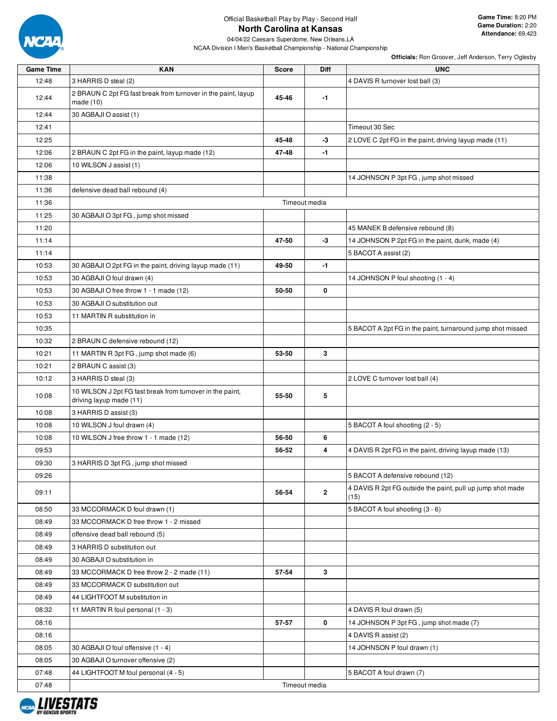

# Official Basketball Play by Play - Second Half **North Carolina at Kansas**

|                  |                                                                                      |               |              | $r$ inclused from Groov Cr, och Anacroon, Terry Ogicopy            |
|------------------|--------------------------------------------------------------------------------------|---------------|--------------|--------------------------------------------------------------------|
| <b>Game Time</b> | <b>KAN</b>                                                                           | <b>Score</b>  | <b>Diff</b>  | <b>UNC</b>                                                         |
| 12:48            | 3 HARRIS D steal (2)                                                                 |               |              | 4 DAVIS R turnover lost ball (3)                                   |
| 12:44            | 2 BRAUN C 2pt FG fast break from turnover in the paint, layup<br>made $(10)$         | 45-46         | $-1$         |                                                                    |
| 12:44            | 30 AGBAJI O assist (1)                                                               |               |              |                                                                    |
| 12:41            |                                                                                      |               |              | Timeout 30 Sec                                                     |
| 12:25            |                                                                                      | 45-48         | $-3$         | 2 LOVE C 2pt FG in the paint, driving layup made (11)              |
| 12:06            | 2 BRAUN C 2pt FG in the paint, layup made (12)                                       | 47-48         | $-1$         |                                                                    |
| 12:06            | 10 WILSON J assist (1)                                                               |               |              |                                                                    |
| 11:38            |                                                                                      |               |              | 14 JOHNSON P 3pt FG, jump shot missed                              |
| 11:36            | defensive dead ball rebound (4)                                                      |               |              |                                                                    |
| 11:36            |                                                                                      | Timeout media |              |                                                                    |
| 11:25            | 30 AGBAJI O 3pt FG, jump shot missed                                                 |               |              |                                                                    |
| 11:20            |                                                                                      |               |              | 45 MANEK B defensive rebound (8)                                   |
| 11:14            |                                                                                      | 47-50         | -3           | 14 JOHNSON P 2pt FG in the paint, dunk, made (4)                   |
| 11:14            |                                                                                      |               |              | 5 BACOT A assist (2)                                               |
| 10:53            | 30 AGBAJI O 2pt FG in the paint, driving layup made (11)                             | 49-50         | $-1$         |                                                                    |
| 10:53            | 30 AGBAJI O foul drawn (4)                                                           |               |              | 14 JOHNSON P foul shooting (1 - 4)                                 |
| 10:53            | 30 AGBAJI O free throw 1 - 1 made (12)                                               | 50-50         | 0            |                                                                    |
| 10:53            | 30 AGBAJI O substitution out                                                         |               |              |                                                                    |
| 10:53            | 11 MARTIN R substitution in                                                          |               |              |                                                                    |
| 10:35            |                                                                                      |               |              | 5 BACOT A 2pt FG in the paint, turnaround jump shot missed         |
| 10:32            | 2 BRAUN C defensive rebound (12)                                                     |               |              |                                                                    |
| 10:21            | 11 MARTIN R 3pt FG, jump shot made (6)                                               | 53-50         | 3            |                                                                    |
| 10:21            | 2 BRAUN C assist (3)                                                                 |               |              |                                                                    |
| 10:12            | 3 HARRIS D steal (3)                                                                 |               |              | 2 LOVE C turnover lost ball (4)                                    |
| 10:08            | 10 WILSON J 2pt FG fast break from turnover in the paint,<br>driving layup made (11) | 55-50         | 5            |                                                                    |
| 10:08            | 3 HARRIS D assist (3)                                                                |               |              |                                                                    |
| 10:08            | 10 WILSON J foul drawn (4)                                                           |               |              | 5 BACOT A foul shooting (2 - 5)                                    |
| 10:08            | 10 WILSON J free throw 1 - 1 made (12)                                               | 56-50         | 6            |                                                                    |
| 09:53            |                                                                                      | 56-52         | 4            | 4 DAVIS R 2pt FG in the paint, driving layup made (13)             |
| 09:30            | 3 HARRIS D 3pt FG, jump shot missed                                                  |               |              |                                                                    |
| 09:26            |                                                                                      |               |              | 5 BACOT A defensive rebound (12)                                   |
| 09:11            |                                                                                      | 56-54         | $\mathbf{2}$ | 4 DAVIS R 2pt FG outside the paint, pull up jump shot made<br>(15) |
| 08:50            | 33 MCCORMACK D foul drawn (1)                                                        |               |              | 5 BACOT A foul shooting (3 - 6)                                    |
| 08:49            | 33 MCCORMACK D free throw 1 - 2 missed                                               |               |              |                                                                    |
| 08:49            | offensive dead ball rebound (5)                                                      |               |              |                                                                    |
| 08:49            | 3 HARRIS D substitution out                                                          |               |              |                                                                    |
| 08:49            | 30 AGBAJI O substitution in                                                          |               |              |                                                                    |
| 08:49            | 33 MCCORMACK D free throw 2 - 2 made (11)                                            | 57-54         | 3            |                                                                    |
| 08:49            | 33 MCCORMACK D substitution out                                                      |               |              |                                                                    |
| 08:49            | 44 LIGHTFOOT M substitution in                                                       |               |              |                                                                    |
| 08:32            | 11 MARTIN R foul personal (1 - 3)                                                    |               |              | 4 DAVIS R foul drawn (5)                                           |
| 08:16            |                                                                                      | 57-57         | 0            | 14 JOHNSON P 3pt FG, jump shot made (7)                            |
| 08:16            |                                                                                      |               |              | 4 DAVIS R assist (2)                                               |
| 08:05            | 30 AGBAJI O foul offensive (1 - 4)                                                   |               |              | 14 JOHNSON P foul drawn (1)                                        |
| 08:05            | 30 AGBAJI O turnover offensive (2)                                                   |               |              |                                                                    |
| 07:48            | 44 LIGHTFOOT M foul personal (4 - 5)                                                 |               |              | 5 BACOT A foul drawn (7)                                           |
| 07:48            |                                                                                      | Timeout media |              |                                                                    |

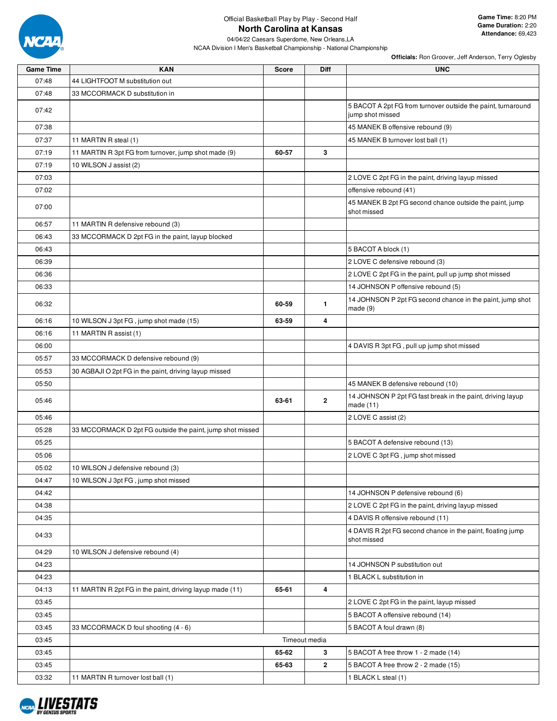

## Official Basketball Play by Play - Second Half **North Carolina at Kansas**

04/04/22 Caesars Superdome, New Orleans,LA NCAA Division I Men's Basketball Championship - National Championship

| <b>Game Time</b> | <b>KAN</b>                                                | <b>Score</b>  | <b>Diff</b>  | <b>UNC</b>                                                                       |
|------------------|-----------------------------------------------------------|---------------|--------------|----------------------------------------------------------------------------------|
| 07:48            | 44 LIGHTFOOT M substitution out                           |               |              |                                                                                  |
| 07:48            | 33 MCCORMACK D substitution in                            |               |              |                                                                                  |
| 07:42            |                                                           |               |              | 5 BACOT A 2pt FG from turnover outside the paint, turnaround<br>jump shot missed |
| 07:38            |                                                           |               |              | 45 MANEK B offensive rebound (9)                                                 |
| 07:37            | 11 MARTIN R steal (1)                                     |               |              | 45 MANEK B turnover lost ball (1)                                                |
| 07:19            | 11 MARTIN R 3pt FG from turnover, jump shot made (9)      | 60-57         | 3            |                                                                                  |
| 07:19            | 10 WILSON J assist (2)                                    |               |              |                                                                                  |
| 07:03            |                                                           |               |              | 2 LOVE C 2pt FG in the paint, driving layup missed                               |
| 07:02            |                                                           |               |              | offensive rebound (41)                                                           |
| 07:00            |                                                           |               |              | 45 MANEK B 2pt FG second chance outside the paint, jump<br>shot missed           |
| 06:57            | 11 MARTIN R defensive rebound (3)                         |               |              |                                                                                  |
| 06:43            | 33 MCCORMACK D 2pt FG in the paint, layup blocked         |               |              |                                                                                  |
| 06:43            |                                                           |               |              | 5 BACOT A block (1)                                                              |
| 06:39            |                                                           |               |              | 2 LOVE C defensive rebound (3)                                                   |
| 06:36            |                                                           |               |              | 2 LOVE C 2pt FG in the paint, pull up jump shot missed                           |
| 06:33            |                                                           |               |              | 14 JOHNSON P offensive rebound (5)                                               |
| 06:32            |                                                           | 60-59         | $\mathbf{1}$ | 14 JOHNSON P 2pt FG second chance in the paint, jump shot<br>made(9)             |
| 06:16            | 10 WILSON J 3pt FG, jump shot made (15)                   | 63-59         | 4            |                                                                                  |
| 06:16            | 11 MARTIN R assist (1)                                    |               |              |                                                                                  |
| 06:00            |                                                           |               |              | 4 DAVIS R 3pt FG, pull up jump shot missed                                       |
| 05:57            | 33 MCCORMACK D defensive rebound (9)                      |               |              |                                                                                  |
| 05:53            | 30 AGBAJI O 2pt FG in the paint, driving layup missed     |               |              |                                                                                  |
| 05:50            |                                                           |               |              | 45 MANEK B defensive rebound (10)                                                |
| 05:46            |                                                           | 63-61         | 2            | 14 JOHNSON P 2pt FG fast break in the paint, driving layup<br>made $(11)$        |
| 05:46            |                                                           |               |              | 2 LOVE C assist (2)                                                              |
| 05:28            | 33 MCCORMACK D 2pt FG outside the paint, jump shot missed |               |              |                                                                                  |
| 05:25            |                                                           |               |              | 5 BACOT A defensive rebound (13)                                                 |
| 05:06            |                                                           |               |              | 2 LOVE C 3pt FG, jump shot missed                                                |
| 05:02            | 10 WILSON J defensive rebound (3)                         |               |              |                                                                                  |
| 04:47            | 10 WILSON J 3pt FG, jump shot missed                      |               |              |                                                                                  |
| 04:42            |                                                           |               |              | 14 JOHNSON P defensive rebound (6)                                               |
| 04:38            |                                                           |               |              | 2 LOVE C 2pt FG in the paint, driving layup missed                               |
| 04:35            |                                                           |               |              | 4 DAVIS R offensive rebound (11)                                                 |
| 04:33            |                                                           |               |              | 4 DAVIS R 2pt FG second chance in the paint, floating jump<br>shot missed        |
| 04:29            | 10 WILSON J defensive rebound (4)                         |               |              |                                                                                  |
| 04:23            |                                                           |               |              | 14 JOHNSON P substitution out                                                    |
| 04:23            |                                                           |               |              | 1 BLACK L substitution in                                                        |
| 04:13            | 11 MARTIN R 2pt FG in the paint, driving layup made (11)  | 65-61         | 4            |                                                                                  |
| 03:45            |                                                           |               |              | 2 LOVE C 2pt FG in the paint, layup missed                                       |
| 03:45            |                                                           |               |              | 5 BACOT A offensive rebound (14)                                                 |
| 03:45            | 33 MCCORMACK D foul shooting (4 - 6)                      |               |              | 5 BACOT A foul drawn (8)                                                         |
| 03:45            |                                                           | Timeout media |              |                                                                                  |
| 03:45            |                                                           | 65-62         | 3            | 5 BACOT A free throw 1 - 2 made (14)                                             |
| 03:45            |                                                           | 65-63         | 2            | 5 BACOT A free throw 2 - 2 made (15)                                             |
| 03:32            | 11 MARTIN R turnover lost ball (1)                        |               |              | 1 BLACK L steal (1)                                                              |

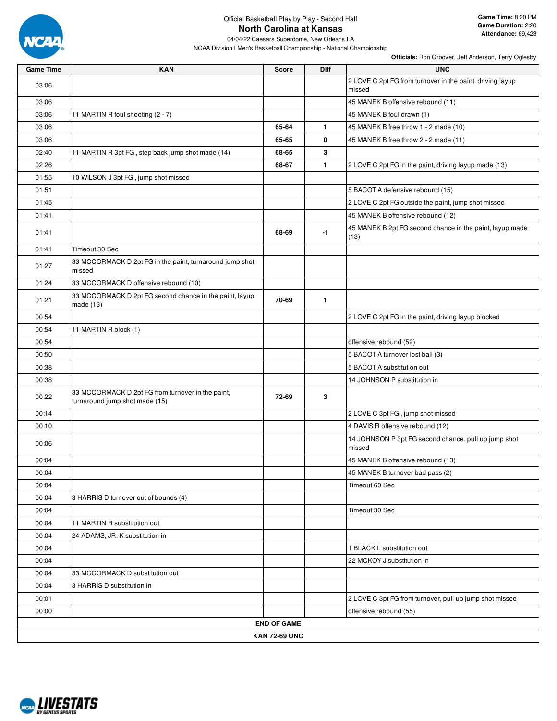

## Official Basketball Play by Play - Second Half **North Carolina at Kansas**

04/04/22 Caesars Superdome, New Orleans,LA NCAA Division I Men's Basketball Championship - National Championship

| <b>Game Time</b> | <b>KAN</b>                                                                          | <b>Score</b>       | Diff         | <b>UNC</b>                                                          |  |  |  |  |  |
|------------------|-------------------------------------------------------------------------------------|--------------------|--------------|---------------------------------------------------------------------|--|--|--|--|--|
| 03:06            |                                                                                     |                    |              | 2 LOVE C 2pt FG from turnover in the paint, driving layup<br>missed |  |  |  |  |  |
| 03:06            |                                                                                     |                    |              | 45 MANEK B offensive rebound (11)                                   |  |  |  |  |  |
| 03:06            | 11 MARTIN R foul shooting (2 - 7)                                                   |                    |              | 45 MANEK B foul drawn (1)                                           |  |  |  |  |  |
| 03:06            |                                                                                     | 65-64              | $\mathbf{1}$ | 45 MANEK B free throw 1 - 2 made (10)                               |  |  |  |  |  |
| 03:06            |                                                                                     | 65-65              | 0            | 45 MANEK B free throw 2 - 2 made (11)                               |  |  |  |  |  |
| 02:40            | 11 MARTIN R 3pt FG, step back jump shot made (14)                                   | 68-65              | 3            |                                                                     |  |  |  |  |  |
| 02:26            |                                                                                     | 68-67              | $\mathbf{1}$ | 2 LOVE C 2pt FG in the paint, driving layup made (13)               |  |  |  |  |  |
| 01:55            | 10 WILSON J 3pt FG, jump shot missed                                                |                    |              |                                                                     |  |  |  |  |  |
| 01:51            |                                                                                     |                    |              | 5 BACOT A defensive rebound (15)                                    |  |  |  |  |  |
| 01:45            |                                                                                     |                    |              | 2 LOVE C 2pt FG outside the paint, jump shot missed                 |  |  |  |  |  |
| 01:41            |                                                                                     |                    |              | 45 MANEK B offensive rebound (12)                                   |  |  |  |  |  |
| 01:41            |                                                                                     | 68-69              | $-1$         | 45 MANEK B 2pt FG second chance in the paint, layup made<br>(13)    |  |  |  |  |  |
| 01:41            | Timeout 30 Sec                                                                      |                    |              |                                                                     |  |  |  |  |  |
| 01:27            | 33 MCCORMACK D 2pt FG in the paint, turnaround jump shot<br>missed                  |                    |              |                                                                     |  |  |  |  |  |
| 01:24            | 33 MCCORMACK D offensive rebound (10)                                               |                    |              |                                                                     |  |  |  |  |  |
| 01:21            | 33 MCCORMACK D 2pt FG second chance in the paint, layup<br>made $(13)$              | 70-69              | $\mathbf{1}$ |                                                                     |  |  |  |  |  |
| 00:54            |                                                                                     |                    |              | 2 LOVE C 2pt FG in the paint, driving layup blocked                 |  |  |  |  |  |
| 00:54            | 11 MARTIN R block (1)                                                               |                    |              |                                                                     |  |  |  |  |  |
| 00:54            |                                                                                     |                    |              | offensive rebound (52)                                              |  |  |  |  |  |
| 00:50            |                                                                                     |                    |              | 5 BACOT A turnover lost ball (3)                                    |  |  |  |  |  |
| 00:38            |                                                                                     |                    |              | 5 BACOT A substitution out                                          |  |  |  |  |  |
| 00:38            |                                                                                     |                    |              | 14 JOHNSON P substitution in                                        |  |  |  |  |  |
| 00:22            | 33 MCCORMACK D 2pt FG from turnover in the paint,<br>turnaround jump shot made (15) | 72-69              | 3            |                                                                     |  |  |  |  |  |
| 00:14            |                                                                                     |                    |              | 2 LOVE C 3pt FG, jump shot missed                                   |  |  |  |  |  |
| 00:10            |                                                                                     |                    |              | 4 DAVIS R offensive rebound (12)                                    |  |  |  |  |  |
| 00:06            |                                                                                     |                    |              | 14 JOHNSON P 3pt FG second chance, pull up jump shot<br>missed      |  |  |  |  |  |
| 00:04            |                                                                                     |                    |              | 45 MANEK B offensive rebound (13)                                   |  |  |  |  |  |
| 00:04            |                                                                                     |                    |              | 45 MANEK B turnover bad pass (2)                                    |  |  |  |  |  |
| 00:04            |                                                                                     |                    |              | Timeout 60 Sec                                                      |  |  |  |  |  |
| 00:04            | 3 HARRIS D turnover out of bounds (4)                                               |                    |              |                                                                     |  |  |  |  |  |
| 00:04            |                                                                                     |                    |              | Timeout 30 Sec                                                      |  |  |  |  |  |
| 00:04            | 11 MARTIN R substitution out                                                        |                    |              |                                                                     |  |  |  |  |  |
| 00:04            | 24 ADAMS, JR. K substitution in                                                     |                    |              |                                                                     |  |  |  |  |  |
| 00:04            |                                                                                     |                    |              | 1 BLACK L substitution out                                          |  |  |  |  |  |
| 00:04            |                                                                                     |                    |              | 22 MCKOY J substitution in                                          |  |  |  |  |  |
| 00:04            | 33 MCCORMACK D substitution out                                                     |                    |              |                                                                     |  |  |  |  |  |
| 00:04            | 3 HARRIS D substitution in                                                          |                    |              |                                                                     |  |  |  |  |  |
| 00:01            |                                                                                     |                    |              | 2 LOVE C 3pt FG from turnover, pull up jump shot missed             |  |  |  |  |  |
| 00:00            |                                                                                     |                    |              | offensive rebound (55)                                              |  |  |  |  |  |
|                  |                                                                                     | <b>END OF GAME</b> |              |                                                                     |  |  |  |  |  |
|                  | <b>KAN 72-69 UNC</b>                                                                |                    |              |                                                                     |  |  |  |  |  |

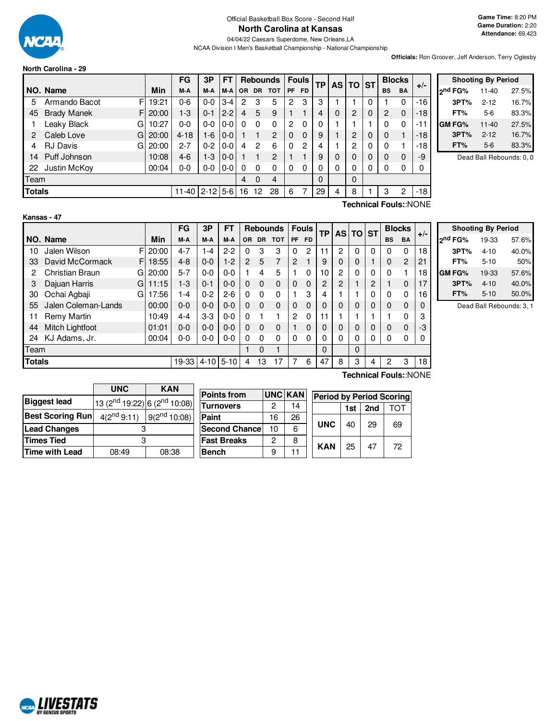

**North Carolina - 29**

#### Official Basketball Box Score - Second Half **North Carolina at Kansas**

04/04/22 Caesars Superdome, New Orleans,LA NCAA Division I Men's Basketball Championship - National Championship

**Officials:** Ron Groover, Jeff Anderson, Terry Oglesby

|               |                          |       | FG        | 3Р       | FT      |          |          | <b>Rebounds</b> |    | <b>Fouls</b> | ТP | <b>AS</b> | <b>TO ST</b> |           | <b>Blocks</b> | $+/-$ |
|---------------|--------------------------|-------|-----------|----------|---------|----------|----------|-----------------|----|--------------|----|-----------|--------------|-----------|---------------|-------|
|               | NO. Name                 | Min   | M-A       | M-A      | M-A     | OR.      | DR.      | <b>TOT</b>      | PF | <b>FD</b>    |    |           |              | <b>BS</b> | <b>BA</b>     |       |
| 5             | F<br>Armando Bacot       | 19:21 | $0 - 6$   | $0 - 0$  | 3-4     | 2        | 3        | 5               | 2  | 3            | 3  |           |              |           | 0             | $-16$ |
| 45            | <b>Brady Manek</b><br>FI | 20:00 | 1-3       | $0 - 1$  | $2 - 2$ | 4        | 5        | 9               |    |              | 4  | 0         | 2            | 2         | $\Omega$      | $-18$ |
|               | Leaky Black<br>GI        | 10:27 | 0-0       | $0-0$    | 0-0     | $\Omega$ | 0        | 0               | 2  | $\Omega$     | 0  |           |              |           | 0             | -11   |
| 2             | Caleb Love<br>GI         | 20:00 | $4 - 18$  | 1-6      | $0 - 0$ |          |          | 2               | 0  | $\Omega$     | 9  |           | 2            | 0         |               | $-18$ |
|               | <b>RJ Davis</b><br>GI    | 20:00 | $2 - 7$   | $0 - 2$  | 0-0     | 4        | 2        | 6               | 0  | 2            | 4  |           | 2            |           |               | $-18$ |
| 14            | Puff Johnson             | 10:08 | $4-6$     | 1-3      | $0 - 0$ |          |          | 2               |    |              | 9  | 0         |              | 0         | $\Omega$      | -9    |
| 22            | Justin McKoy             | 00:04 | 0-0       | $0-0$    | $0-0$   | 0        | 0        | 0               | 0  | 0            | 0  | 0         |              |           | 0             |       |
| Team          |                          |       |           |          |         | 4        | $\Omega$ | $\overline{4}$  |    |              | 0  |           | $\Omega$     |           |               |       |
| <b>Totals</b> |                          |       | $11 - 40$ | $2 - 12$ | $5-6$   | 16       | 12       | 28              | 6  |              | 29 | 4         | 8            | 3         | 2             | $-18$ |

|         |      | <b>Shooting By Period</b> |       |
|---------|------|---------------------------|-------|
| ond FG% |      | $11 - 40$                 | 27.5% |
|         | 3PT% | $2 - 12$                  | 16.7% |
|         | FT%  | 5-6                       | 83.3% |
| GM FG%  |      | $11 - 40$                 | 27.5% |
|         | 3PT% | $2 - 12$                  | 16.7% |
|         | FT%  | $5-6$                     | 83.3% |

Dead Ball Rebounds: 0, 0

**Kansas - 47**

**Technical Fouls:**:NONE

|               |                       |         | FG      | 3P          | FT      |                |          | <b>Rebounds</b> |                | <b>Fouls</b>   | ТP             |                | AS TO ST |          |           | <b>Blocks</b>  | $+/-$ |
|---------------|-----------------------|---------|---------|-------------|---------|----------------|----------|-----------------|----------------|----------------|----------------|----------------|----------|----------|-----------|----------------|-------|
|               | NO. Name              | Min     | M-A     | M-A         | M-A     | OR.            | DR.      | <b>TOT</b>      | PF             | <b>FD</b>      |                |                |          |          | <b>BS</b> | BA             |       |
| 10            | Jalen Wilson          | F120:00 | $4 - 7$ | $-4$        | $2 - 2$ | 0              | 3        | 3               | 0              | $\overline{c}$ | 11             | 2              | 0        | 0        | $\Omega$  | $\Omega$       | 18    |
| 33            | David McCormack<br>F  | 18:55   | $4 - 8$ | $0 - 0$     | $1-2$   | $\overline{2}$ | 5        | 7               | $\overline{c}$ |                | 9              | 0              | 0        |          | $\Omega$  | $\overline{2}$ | 21    |
| 2             | Christian Braun<br>GI | 20:00   | $5 - 7$ | $0 - 0$     | $0 - 0$ |                | 4        | 5               | 1              | $\Omega$       | 10             | $\overline{c}$ | 0        | 0        | $\Omega$  |                | 18    |
| 3             | Dajuan Harris<br>Gl   | 11:15   | $1-3$   | $0 - 1$     | $0 - 0$ | $\Omega$       | $\Omega$ | $\Omega$        | $\Omega$       | $\Omega$       | $\overline{c}$ | 2              |          | 2        |           | $\Omega$       | 17    |
| 30            | Ochai Agbaji<br>G     | 17:56   | 1-4     | $0 - 2$     | $2-6$   | $\Omega$       | $\Omega$ | $\Omega$        |                | 3              | 4              |                |          | 0        | $\Omega$  | $\mathbf{0}$   | 16    |
| 55            | Jalen Coleman-Lands   | 00:00   | $0 - 0$ | $0-0$       | $0 - 0$ | $\Omega$       | $\Omega$ | $\Omega$        | $\Omega$       | $\Omega$       | 0              | $\Omega$       | 0        | $\Omega$ | $\Omega$  | $\Omega$       | 0     |
| 11            | Remy Martin           | 10:49   | $4 - 4$ | $3-3$       | $0 - 0$ | $\Omega$       |          |                 | 2              | $\Omega$       | 11             |                |          |          |           | $\Omega$       | 3     |
| 44            | Mitch Lightfoot       | 01:01   | $0 - 0$ | $0 - 0$     | $0 - 0$ | $\Omega$       | $\Omega$ | $\Omega$        |                | $\Omega$       | 0              | $\Omega$       | 0        | $\Omega$ | $\Omega$  | $\Omega$       | -3    |
| 24            | KJ Adams, Jr.         | 00:04   | $0-0$   | $0-0$       | $0 - 0$ | $\Omega$       | $\Omega$ | $\Omega$        | $\Omega$       | $\Omega$       | 0              | 0              | 0        | 0        | $\Omega$  | 0              | 0     |
| Team          |                       |         |         |             |         |                | $\Omega$ | ۴               |                |                | 0              |                | $\Omega$ |          |           |                |       |
| <b>Totals</b> |                       |         | 19-33   | $4-10$ 5-10 |         | 4              | 13       | 17              | 7              | 6              | 47             | 8              | 3        | 4        | 2         | 3              | 18    |

|                     | <b>Shooting By Period</b> |       |
|---------------------|---------------------------|-------|
| 2 <sup>nd</sup> FG% | 19-33                     | 57.6% |
| 3PT%                | $4 - 10$                  | 40.0% |
| FT%                 | $5 - 10$                  | 50%   |
| <b>GM FG%</b>       | 19-33                     | 57.6% |
| 3PT%                | $4 - 10$                  | 40.0% |
| FT%                 | $5 - 10$                  | 50.0% |

Dead Ball Rebounds: 3, 1

|                         | <b>UNC</b>                                           | <b>KAN</b>        |
|-------------------------|------------------------------------------------------|-------------------|
| <b>Biggest lead</b>     | 13 (2 <sup>nd</sup> 19:22) 6 (2 <sup>nd</sup> 10:08) |                   |
| <b>Best Scoring Run</b> | $4(2^{nd}9:11)$                                      | $9(2^{nd} 10:08)$ |
| <b>Lead Changes</b>     |                                                      |                   |
| <b>Times Tied</b>       |                                                      |                   |
| <b>Time with Lead</b>   | 08:49                                                | 08:38             |

 $\blacksquare$ 

| <b>Points from</b>   |         | <b>UNC KAN</b> | <b>Period by Period Scoring</b> |     |     |    |
|----------------------|---------|----------------|---------------------------------|-----|-----|----|
| <b>ITurnovers</b>    | 2       | 14             |                                 | 1st | 2nd | דר |
| Paint                | 16      | 26             |                                 |     |     |    |
| <b>Second Chance</b> | 10      | 6              | <b>UNC</b>                      | 40  | 29  | 69 |
| <b>Fast Breaks</b>   | 2       | 8              | <b>KAN</b>                      | 25  | 47  | 72 |
| <b>Bench</b>         | 11<br>9 |                |                                 |     |     |    |

**Technical Fouls:**:NONE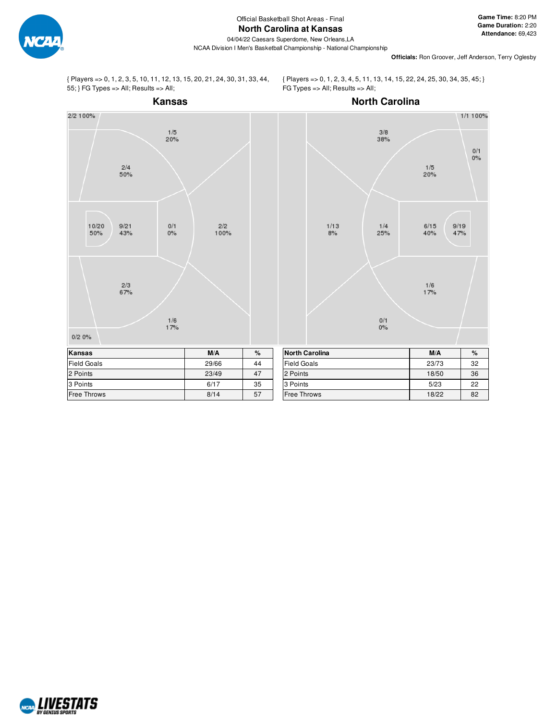

**Officials:** Ron Groover, Jeff Anderson, Terry Oglesby

{ Players => 0, 1, 2, 3, 5, 10, 11, 12, 13, 15, 20, 21, 24, 30, 31, 33, 44, 55; } FG Types => All; Results => All;

{ Players => 0, 1, 2, 3, 4, 5, 11, 13, 14, 15, 22, 24, 25, 30, 34, 35, 45; } FG Types => All; Results => All;



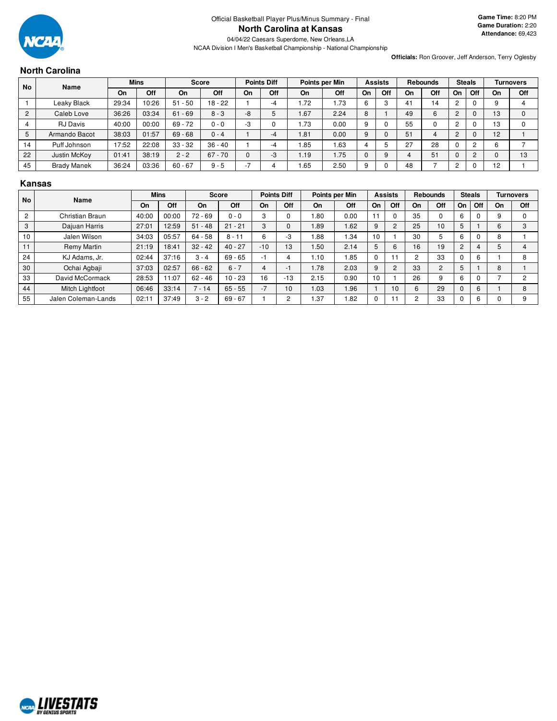

**Officials:** Ron Groover, Jeff Anderson, Terry Oglesby

# **North Carolina**

|    | <b>No</b><br>Name  |       | <b>Mins</b> | <b>Score</b> |           | <b>Points Diff</b> |     | Points per Min |      |    | <b>Assists</b> |    | <b>Rebounds</b> | <b>Steals</b> |     | <b>Turnovers</b> |          |
|----|--------------------|-------|-------------|--------------|-----------|--------------------|-----|----------------|------|----|----------------|----|-----------------|---------------|-----|------------------|----------|
|    |                    | On    | Off         | On           | Off       | On                 | Off | On             | Off  | On | Off            | On | Off             | On            | Off | On               | Off      |
|    | Leaky Black        | 29:34 | 10:26       | $51 - 50$    | $18 - 22$ |                    | -4  | 1.72           | . 73 | 6  |                | 41 | $\overline{4}$  | ົ             |     |                  | 4        |
|    | Caleb Love         | 36:26 | 03:34       | $61 - 69$    | $8 - 3$   | -8                 |     | 1.67           | 2.24 | 8  |                | 49 | 6               | C             | U   | 13               | $\Omega$ |
|    | <b>RJ</b> Davis    | 40:00 | 00:00       | $69 - 72$    | $0 - 0$   | -3                 |     | 1.73           | 0.00 | 9  |                | 55 |                 |               |     | 13               | 0        |
|    | Armando Bacot      | 38:03 | 01:57       | $69 - 68$    | $0 - 4$   |                    | -4  | 1.81           | 0.00 | 9  |                | 51 | 4               | C.            |     | 12               |          |
| 14 | Puff Johnson       | 17:52 | 22:08       | $33 - 32$    | $36 - 40$ |                    | -4  | .85            | 1.63 |    |                | 27 | 28              |               | റ   | 6                |          |
| 22 | Justin McKoy       | 01:41 | 38:19       | $2 - 2$      | $67 - 70$ |                    | -3  | 1.19           | 1.75 |    | 9              |    | 51              | 0             | ◠   |                  | 13       |
| 45 | <b>Brady Manek</b> | 36:24 | 03:36       | $60 - 67$    | $9 - 5$   | -                  |     | .65            | 2.50 | 9  |                | 48 |                 | ົ             |     | 12               |          |

# **Kansas**

| <b>No</b>      | Name                |       | <b>Mins</b> |           | <b>Score</b> |            | <b>Points Diff</b> |      | Points per Min |    | <b>Assists</b> |    | <b>Rebounds</b> |                | <b>Steals</b> |    | <b>Turnovers</b> |
|----------------|---------------------|-------|-------------|-----------|--------------|------------|--------------------|------|----------------|----|----------------|----|-----------------|----------------|---------------|----|------------------|
|                |                     | On    | Off         | On        | Off          | On         | Off                | On   | Off            | On | Off            | On | Off             | On             | Off           | On | Off              |
| $\overline{c}$ | Christian Braun     | 40:00 | 00:00       | $72 - 69$ | $0 - 0$      | $\sqrt{2}$ |                    | .80  | 0.00           |    | 0              | 35 |                 | 6              |               |    |                  |
| 3              | Dajuan Harris       | 27:01 | 12:59       | $51 - 48$ | $21 - 21$    | 3          |                    | .89  | .62            | 9  | $\overline{c}$ | 25 | 10              | 5              |               | 6  |                  |
| 10             | Jalen Wilson        | 34:03 | 05:57       | $64 - 58$ | $8 - 11$     | հ          | -3                 | .88  | .34            | 10 |                | 30 |                 | 6              |               | 8  |                  |
| 11             | Remy Martin         | 21:19 | 18:41       | $32 - 42$ | $40 - 27$    | $-10$      | 13                 | .50  | 2.14           | 5  | 6              | 16 | 19              | $\overline{2}$ | 4             |    |                  |
| 24             | KJ Adams, Jr.       | 02:44 | 37:16       | $3 - 4$   | $69 - 65$    | -1         |                    | 1.10 | .85            |    | 11             |    | 33              |                | 6             |    |                  |
| 30             | Ochai Agbaji        | 37:03 | 02:57       | $66 - 62$ | $6 - 7$      |            |                    | 1.78 | 2.03           | 9  | $\overline{c}$ | 33 | C               | 5              |               | 8  |                  |
| 33             | David McCormack     | 28:53 | 11:07       | $62 - 46$ | $10 - 23$    | 16         | $-13$              | 2.15 | 0.90           | 10 |                | 26 |                 | 6              |               |    |                  |
| 44             | Mitch Lightfoot     | 06:46 | 33:14       | $7 - 14$  | $65 - 55$    | $-7$       | 10                 | 1.03 | 1.96           |    | 10             | h  | 29              | 0              | 6             |    | ሾ                |
| 55             | Jalen Coleman-Lands | 02:11 | 37:49       | $3 - 2$   | $69 - 67$    |            | ົ                  | .37  | .82            |    | 11             |    | 33              |                | 6             |    |                  |

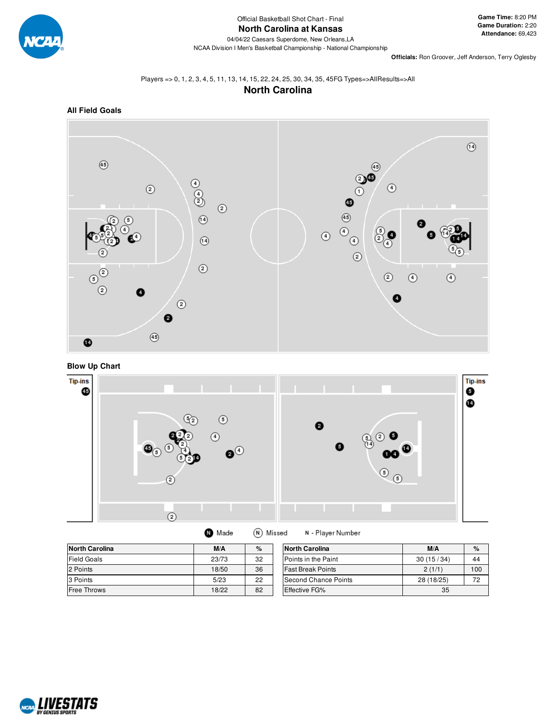

**Game Time:** 8:20 PM **Game Duration:** 2:20 **Attendance:** 69,423

**Officials:** Ron Groover, Jeff Anderson, Terry Oglesby

# Players => 0, 1, 2, 3, 4, 5, 11, 13, 14, 15, 22, 24, 25, 30, 34, 35, 45FG Types=>AllResults=>All **North Carolina**



**Blow Up Chart**



| M/A<br><b></b> | $\ddot{\phantom{1}}$ |
|----------------|----------------------|

N - Player Number

| North Carolina | M/A   | %  | <b>North Carolina</b>    | M/A        | $\%$ |
|----------------|-------|----|--------------------------|------------|------|
| Field Goals    | 23/73 | 32 | Points in the Paint      | 30(15/34)  | 44   |
| 2 Points       | 18/50 | 36 | <b>Fast Break Points</b> | 2(1/1)     | 100  |
| 3 Points       | 5/23  | 22 | Second Chance Points     | 28 (18/25) | 70   |
| Free Throws    | 18/22 | 82 | <b>Effective FG%</b>     | 35         |      |
|                |       |    |                          |            |      |

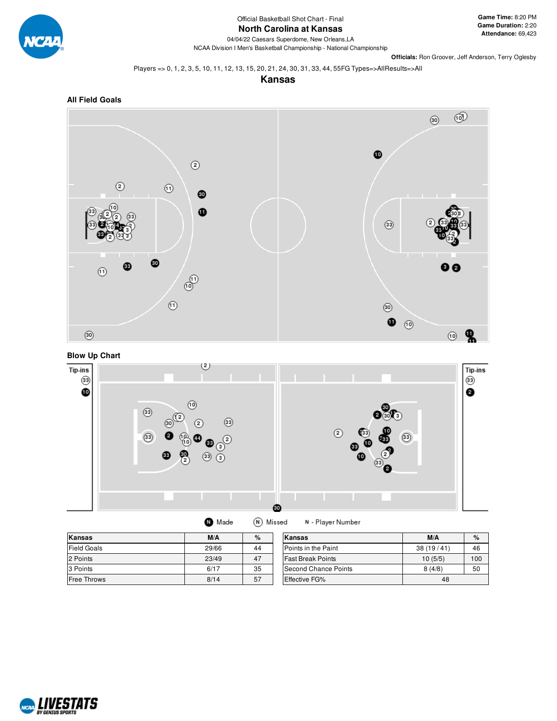

# **North Carolina at Kansas**

04/04/22 Caesars Superdome, New Orleans,LA NCAA Division I Men's Basketball Championship - National Championship

**Officials:** Ron Groover, Jeff Anderson, Terry Oglesby

Players => 0, 1, 2, 3, 5, 10, 11, 12, 13, 15, 20, 21, 24, 30, 31, 33, 44, 55FG Types=>AllResults=>All

**Kansas**







(N) Missed **O** Made N - Player Number

| Kansas             | M/A   | %  | lKansas                  | M/A       | $\%$ |
|--------------------|-------|----|--------------------------|-----------|------|
| <b>Field Goals</b> | 29/66 | 44 | Points in the Paint      | 38(19/41) | 46   |
| 2 Points           | 23/49 | 47 | <b>Fast Break Points</b> | 10(5/5)   | 100  |
| 3 Points           | 6/17  | 35 | Second Chance Points     | 8(4/8)    | 50   |
| <b>Free Throws</b> | 8/14  | 57 | <b>Effective FG%</b>     | 48        |      |

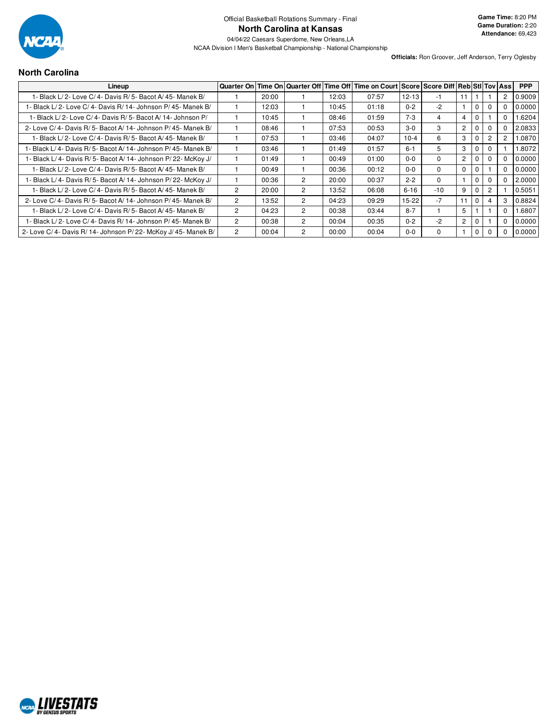

# **North Carolina**

| Lineup                                                          |                |       |                |       | Quarter On Time On Quarter Off Time Off Time on Court Score Score Diff Reb Sti Tov Ass |           |             |                       |              |                |                | <b>PPP</b> |
|-----------------------------------------------------------------|----------------|-------|----------------|-------|----------------------------------------------------------------------------------------|-----------|-------------|-----------------------|--------------|----------------|----------------|------------|
| 1- Black L/ 2- Love C/ 4- Davis R/ 5- Bacot A/ 45- Manek B/     |                | 20:00 |                | 12:03 | 07:57                                                                                  | $12 - 13$ | -1          |                       |              |                | 2              | 0.9009     |
| 1- Black L/2- Love C/4- Davis R/14- Johnson P/45- Manek B/      |                | 12:03 |                | 10:45 | 01:18                                                                                  | $0 - 2$   | $-2$        |                       | $\Omega$     |                | 0              | 0.0000     |
| 1- Black L/ 2- Love C/ 4- Davis R/ 5- Bacot A/ 14- Johnson P/   |                | 10:45 |                | 08:46 | 01:59                                                                                  | $7-3$     | 4           | 4                     | 0            |                | 0              | .6204      |
| 2- Love C/4- Davis R/5- Bacot A/14- Johnson P/45- Manek B/      |                | 08:46 |                | 07:53 | 00:53                                                                                  | $3-0$     | 3           | $\mathbf{2}^{\prime}$ | $\mathbf{0}$ |                | 0              | 2.0833     |
| 1- Black L/ 2- Love C/ 4- Davis R/ 5- Bacot A/ 45- Manek B/     |                | 07:53 |                | 03:46 | 04:07                                                                                  | $10 - 4$  | 6           | 3                     | $\Omega$     | $\overline{2}$ | $\overline{2}$ | .0870      |
| 1- Black L/ 4- Davis R/ 5- Bacot A/ 14- Johnson P/ 45- Manek B/ |                | 03:46 |                | 01:49 | 01:57                                                                                  | $6 - 1$   | 5           | 3                     | $\Omega$     |                |                | .8072      |
| 1- Black L/4- Davis R/5- Bacot A/14- Johnson P/22- McKoy J/     |                | 01:49 |                | 00:49 | 01:00                                                                                  | $0 - 0$   | $\Omega$    | $\overline{2}$        | $\Omega$     | $\Omega$       | 0              | 0.0000     |
| 1- Black L/2- Love C/4- Davis R/5- Bacot A/45- Manek B/         |                | 00:49 |                | 00:36 | 00:12                                                                                  | $0 - 0$   | $\Omega$    | 0                     | 0            |                | 0              | 0.0000     |
| 1- Black L/4- Davis R/5- Bacot A/14- Johnson P/22- McKoy J/     |                | 00:36 | $\overline{c}$ | 20:00 | 00:37                                                                                  | $2 - 2$   | $\Omega$    |                       | $\Omega$     |                | 0              | 2.0000     |
| I - Black L/ 2- Love C/ 4- Davis R/ 5- Bacot A/ 45- Manek B/    | $\overline{c}$ | 20:00 | 2              | 13:52 | 06:08                                                                                  | $6 - 16$  | $-10$       | 9                     | 0            | $\overline{2}$ |                | 0.5051     |
| 2- Love C/4- Davis R/5- Bacot A/14- Johnson P/45- Manek B/      | $\overline{c}$ | 13:52 | 2              | 04:23 | 09:29                                                                                  | $15-22$   | $-7$        | 11                    | $\mathbf{0}$ |                | 3              | 0.8824     |
| 1- Black L/ 2- Love C/ 4- Davis R/ 5- Bacot A/ 45- Manek B/     | $\overline{2}$ | 04:23 | 2              | 00:38 | 03:44                                                                                  | $8 - 7$   |             | 5                     |              |                | 0              | .6807      |
| 1- Black L/2- Love C/4- Davis R/14- Johnson P/45- Manek B/      | $\overline{2}$ | 00:38 | $\overline{2}$ | 00:04 | 00:35                                                                                  | $0 - 2$   | $-2$        | $\overline{c}$        | 0            |                | 0              | 0.0000     |
| 2- Love C/4- Davis R/14- Johnson P/22- McKoy J/45- Manek B/     | $\overline{2}$ | 00:04 | 2              | 00:00 | 00:04                                                                                  | $0 - 0$   | $\mathbf 0$ |                       | $\Omega$     | $\Omega$       | 0              | 0.0000     |

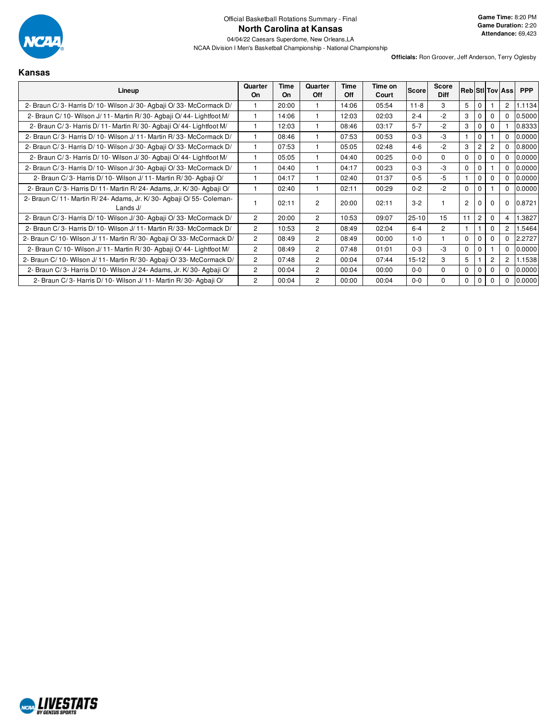

**Officials:** Ron Groover, Jeff Anderson, Terry Oglesby

**Kansas**

| Lineup                                                                         | Quarter<br><b>On</b> | Time<br><b>On</b> | Quarter<br>Off | Time<br><b>Off</b> | Time on<br>Court | <b>Score</b> | <b>Score</b><br><b>Diff</b> |             |                |                | <b>Reb Stillov Assi</b> | <b>PPP</b> |
|--------------------------------------------------------------------------------|----------------------|-------------------|----------------|--------------------|------------------|--------------|-----------------------------|-------------|----------------|----------------|-------------------------|------------|
| 2- Braun C/3- Harris D/10- Wilson J/30- Agbaji O/33- McCormack D/              |                      | 20:00             |                | 14:06              | 05:54            | $11 - 8$     | 3                           | 5           | $\Omega$       |                | 2                       | 1.1134     |
| 2- Braun C/10- Wilson J/11- Martin R/30- Agbaji O/44- Lightfoot M/             |                      | 14:06             |                | 12:03              | 02:03            | $2 - 4$      | $-2$                        | 3           | $\Omega$       |                | $\Omega$                | 0.5000     |
| 2- Braun C/3- Harris D/11- Martin R/30- Agbaji O/44- Lightfoot M/              |                      | 12:03             |                | 08:46              | 03:17            | $5 - 7$      | $-2$                        | 3           | 0              | 0              |                         | 0.8333     |
| 2- Braun C/3- Harris D/10- Wilson J/11- Martin R/33- McCormack D/              |                      | 08:46             |                | 07:53              | 00:53            | $0 - 3$      | -3                          |             | $\mathbf 0$    |                | $\Omega$                | 0.0000     |
| 2- Braun C/3- Harris D/10- Wilson J/30- Agbaji O/33- McCormack D/              |                      | 07:53             |                | 05:05              | 02:48            | $4 - 6$      | $-2$                        | 3           | $\overline{2}$ |                | 0                       | 0.8000     |
| 2- Braun C/3- Harris D/10- Wilson J/30- Agbaji O/44- Lightfoot M/              |                      | 05:05             |                | 04:40              | 00:25            | $0 - 0$      | 0                           | $\Omega$    |                |                | 0                       | 0.0000     |
| 2- Braun C/3- Harris D/10- Wilson J/30- Agbaji O/33- McCormack D/              |                      | 04:40             |                | 04:17              | 00:23            | $0 - 3$      | $-3$                        | $\mathbf 0$ | $\mathbf 0$    |                | 0                       | 0.0000     |
| 2- Braun C/3- Harris D/10- Wilson J/11- Martin R/30- Agbaji O/                 |                      | 04:17             |                | 02:40              | 01:37            | $0 - 5$      | $-5$                        |             | $\mathbf{0}$   | 0              | 0                       | 0.0000     |
| 2- Braun C/3- Harris D/11- Martin R/24- Adams, Jr. K/30- Agbaii O/             |                      | 02:40             |                | 02:11              | 00:29            | $0 - 2$      | $-2$                        | $\Omega$    | $\Omega$       |                | $\Omega$                | 0.0000     |
| 2- Braun C/11- Martin R/24- Adams, Jr. K/30- Agbaji O/55- Coleman-<br>Lands J/ |                      | 02:11             | 2              | 20:00              | 02:11            | $3 - 2$      |                             | 2           |                |                | 0                       | 0.8721     |
| 2- Braun C/3- Harris D/10- Wilson J/30- Agbaji O/33- McCormack D/              | $\overline{2}$       | 20:00             | $\overline{2}$ | 10:53              | 09:07            | $25 - 10$    | 15                          | 11          | $\overline{2}$ | 0              | 4                       | .3827      |
| 2- Braun C/3- Harris D/10- Wilson J/11- Martin R/33- McCormack D/              | 2                    | 10:53             | 2              | 08:49              | 02:04            | $6 - 4$      | $\overline{2}$              |             |                | $\Omega$       | 2                       | 5464       |
| 2- Braun C/ 10- Wilson J/ 11- Martin R/ 30- Agbaji O/ 33- McCormack D/         | $\overline{2}$       | 08:49             | $\overline{2}$ | 08:49              | 00:00            | $1 - 0$      |                             | $\Omega$    | $\Omega$       | 0              | $\Omega$                | 2.2727     |
| 2- Braun C/10- Wilson J/11- Martin R/30- Agbaii O/44- Lightfoot M/             | 2                    | 08:49             | $\overline{c}$ | 07:48              | 01:01            | $0 - 3$      | -3                          | $\Omega$    | $\Omega$       |                | $\Omega$                | 0.0000     |
| 2- Braun C/ 10- Wilson J/ 11- Martin R/ 30- Agbaji O/ 33- McCormack D/         | $\overline{c}$       | 07:48             | $\overline{2}$ | 00:04              | 07:44            | $15 - 12$    | 3                           | 5           |                | $\overline{2}$ | $\overline{2}$          | 1.1538     |
| 2- Braun C/3- Harris D/10- Wilson J/24- Adams, Jr. K/30- Agbaii O/             | 2                    | 00:04             | $\overline{2}$ | 00:04              | 00:00            | $0 - 0$      | 0                           | $\Omega$    | $\Omega$       |                | $\Omega$                | 0.0000     |
| 2- Braun C/3- Harris D/10- Wilson J/11- Martin R/30- Agbaji O/                 | 2                    | 00:04             | 2              | 00:00              | 00:04            | $0-0$        | 0                           | 0           | $\mathbf 0$    |                | 0                       | 0.0000     |

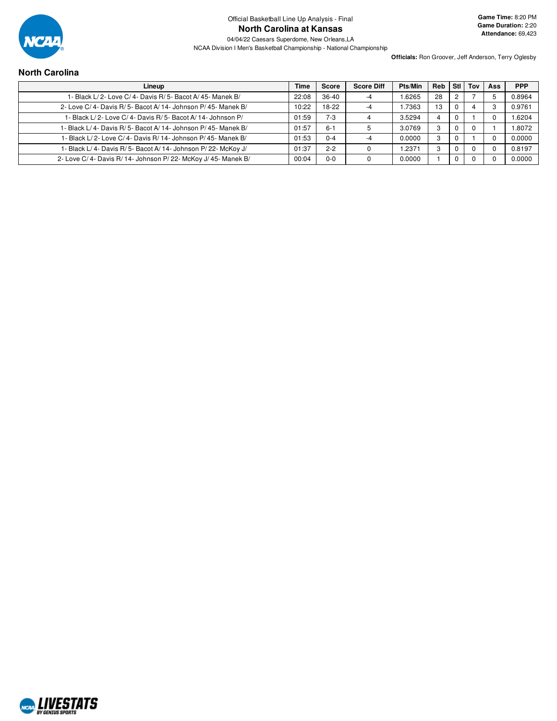

**Officials:** Ron Groover, Jeff Anderson, Terry Oglesby

# **North Carolina**

| Lineup                                                      | Time  | <b>Score</b> | <b>Score Diff</b> | Pts/Min | <b>Reb</b> | <b>Stl</b> | Tov | <b>Ass</b> | <b>PPP</b> |
|-------------------------------------------------------------|-------|--------------|-------------------|---------|------------|------------|-----|------------|------------|
| 1- Black L/ 2- Love C/ 4- Davis R/ 5- Bacot A/ 45- Manek B/ | 22:08 | $36 - 40$    | -4                | 1.6265  | 28         |            |     |            | 0.8964     |
| 2- Love C/4- Davis R/5- Bacot A/14- Johnson P/45- Manek B/  | 10:22 | 18-22        | -4                | .7363   | 13         |            |     | Э          | 0.9761     |
| 1- Black L/2- Love C/4- Davis R/5- Bacot A/14- Johnson P/   | 01:59 | $7 - 3$      | 4                 | 3.5294  | 4          |            |     |            | 1.6204     |
| - Black L/4- Davis R/5- Bacot A/14- Johnson P/45- Manek B/  | 01:57 | $6 - 1$      |                   | 3.0769  | 3          |            |     |            | 1.8072     |
| 1- Black L/2- Love C/4- Davis R/14- Johnson P/45- Manek B/  | 01:53 | $0 - 4$      | -4                | 0.0000  | 3          |            |     |            | 0.0000     |
| 1- Black L/4- Davis R/5- Bacot A/14- Johnson P/22- McKoy J/ | 01:37 | $2 - 2$      |                   | .2371   | з          |            |     |            | 0.8197     |
| 2- Love C/4- Davis R/14- Johnson P/22- McKoy J/45- Manek B/ | 00:04 | $0 - 0$      |                   | 0.0000  |            |            |     |            | 0.0000     |